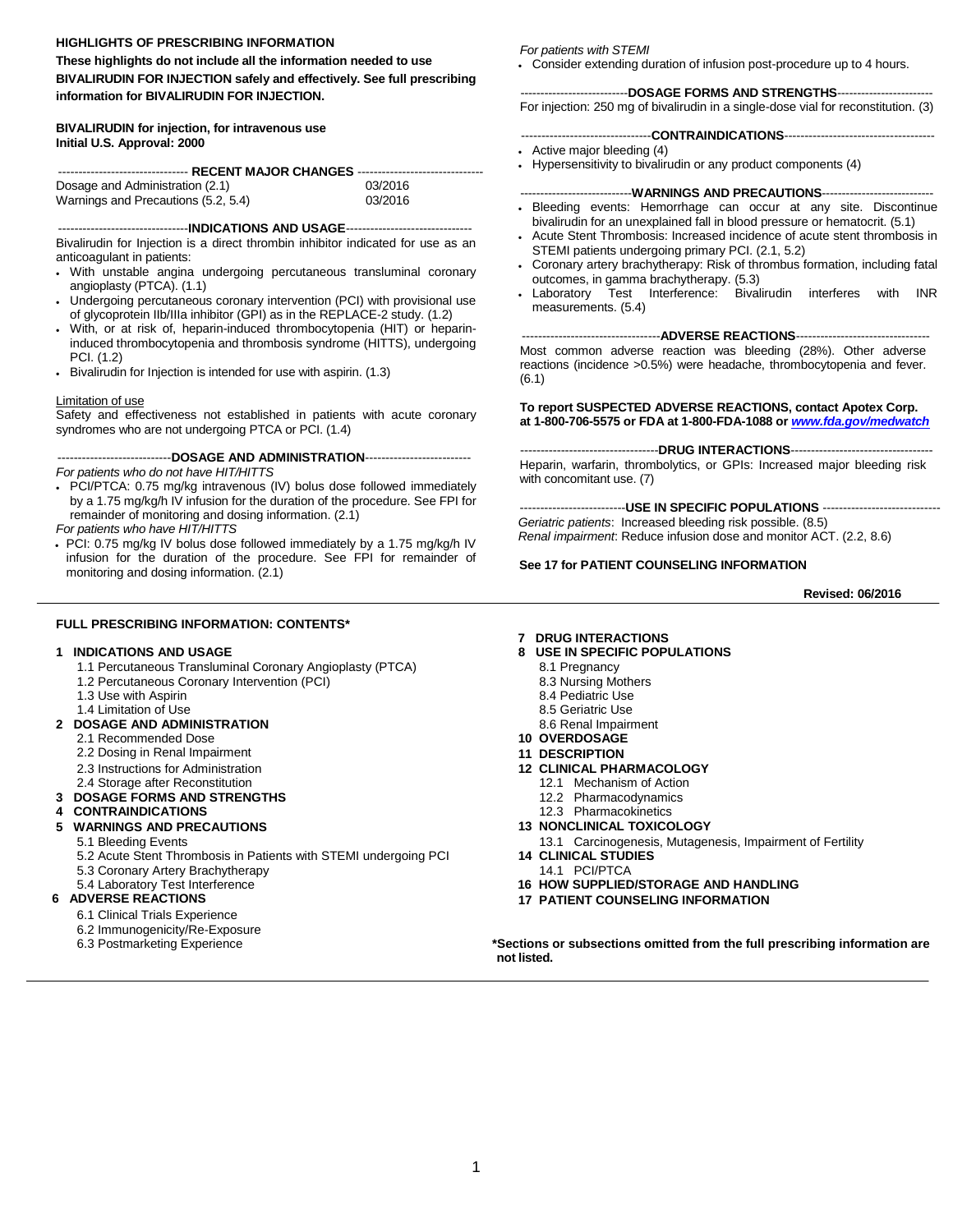#### **HIGHLIGHTS OF PRESCRIBING INFORMATION**

**These highlights do not include all the information needed to use BIVALIRUDIN FOR INJECTION safely and effectively. See full prescribing information for BIVALIRUDIN FOR INJECTION.** 

#### **BIVALIRUDIN for injection, for intravenous use Initial U.S. Approval: 2000**

| -------------------------------- RECENT MAJOR CHANGES ------------------------------- |         |  |  |  |
|---------------------------------------------------------------------------------------|---------|--|--|--|
| Dosage and Administration (2.1)                                                       | 03/2016 |  |  |  |
| Warnings and Precautions (5.2, 5.4)                                                   | 03/2016 |  |  |  |

--------------------------------**INDICATIONS AND USAGE**------------------------------- Bivalirudin for Injection is a direct thrombin inhibitor indicated for use as an anticoagulant in patients:

- With unstable angina undergoing percutaneous transluminal coronary angioplasty (PTCA). (1.1)
- Undergoing percutaneous coronary intervention (PCI) with provisional use of glycoprotein IIb/IIIa inhibitor (GPI) as in the REPLACE-2 study. (1.2)
- With, or at risk of, heparin-induced thrombocytopenia (HIT) or heparininduced thrombocytopenia and thrombosis syndrome (HITTS), undergoing PCI. (1.2)
- Bivalirudin for Injection is intended for use with aspirin. (1.3)

#### Limitation of use

Safety and effectiveness not established in patients with acute coronary syndromes who are not undergoing PTCA or PCI. (1.4)

----------------------------**DOSAGE AND ADMINISTRATION**--------------------------

*For patients who do not have HIT/HITTS* 

 PCI/PTCA: 0.75 mg/kg intravenous (IV) bolus dose followed immediately by a 1.75 mg/kg/h IV infusion for the duration of the procedure. See FPI for remainder of monitoring and dosing information. (2.1)

*For patients who have HIT/HITTS* 

 PCI: 0.75 mg/kg IV bolus dose followed immediately by a 1.75 mg/kg/h IV infusion for the duration of the procedure. See FPI for remainder of monitoring and dosing information. (2.1)

#### **FULL PRESCRIBING INFORMATION: CONTENTS\***

- 1.1 [Percutaneous Transluminal Coronary Angioplasty \(PTCA\)](#page-1-0) 8.1 [Pregnancy](#page-8-0)
- 1.2 [Percutaneous Coronary Intervention \(PCI\)](#page-1-0) <br>1.3 Use with Aspirin 8.4 [Nursing Mothers](#page-8-0) 1.3 Nursing Mothers 1.3 Nursing Mothers
- 1.3 [Use with Aspirin](#page-1-0) 1.3 Use with Aspirin 1.3 Use with Aspirin 1.4 Limitation of Use 2014 1.4 Limitation of Use
- 

#### 1.4 [Limitation of Use](#page-1-0) 8.5 [Geriatric Use](#page-8-0) 8.5 Geriatric Use 8.5 Geriatric Use 8.5 Geriatric Use 8.5 Geriatric Use<br> **DOSAGE AND ADMINISTRATION 2 [DOSAGE AND ADMINISTRATION](#page-1-0)**

- 2.1 [Recommended Dose](#page-1-0) **10 [OVERDOSAGE](#page-9-0)**
- 2.2 [Dosing in Renal Impairment](#page-2-0) **11 [DESCRIPTION](#page-9-0)**
- 
- 

# 2.4 [Storage after Reconstitution](#page-3-0) 12.1 Mechanism of Action<br> **DOSAGE FORMS AND STRENGTHS** 12.2 Pharmacodynamics **3 [DOSAGE FORMS AND STRENGTHS](#page-4-0)<br>4 CONTRAINDICATIONS**

**4 [CONTRAINDICATIONS](#page-4-0)** 12.3 [Pharmacokinetics](#page-10-0) 

- 
- 5.2 [Acute Stent Thrombosis in Patients with STEMI undergoing PCI](#page-4-0) **14 CLINICAL STUD**<br>5.3 Coronary Artery Brachytherapy **14.1 PCI/PTCA** 5.3 Coronary Artery Brachytherapy<br>5.4 Laboratory Test Interference
- 

- 6.1 [Clinical Trials Experience](#page-4-0)
- 6.2 Immunogenicity/Re-Exposure<br>6.3 Postmarketing Experience
- 

#### *For patients with STEMI*

Consider extending duration of infusion post-procedure up to 4 hours.

---------------------------**DOSAGE FORMS AND STRENGTHS**------------------------ For injection: 250 mg of bivalirudin in a single-dose vial for reconstitution. (3)

- --------------------------------**CONTRAINDICATIONS**-------------------------------------
- Active major bleeding (4)
- Hypersensitivity to bivalirudin or any product components (4)

#### ----------------------------**WARNINGS AND PRECAUTIONS**----------------------------

- Bleeding events: Hemorrhage can occur at any site. Discontinue bivalirudin for an unexplained fall in blood pressure or hematocrit. (5.1)
- STEMI patients undergoing primary PCI. (2.1, 5.2)
- Coronary artery brachytherapy: Risk of thrombus formation, including fatal outcomes, in gamma brachytherapy. (5.3)
- Laboratory Test Interference: Bivalirudin interferes with INR measurements. (5.4)

----------------------------------**ADVERSE REACTIONS**---------------------------------

Most common adverse reaction was bleeding (28%). Other adverse reactions (incidence >0.5%) were headache, thrombocytopenia and fever. (6.1)

**To report SUSPECTED ADVERSE REACTIONS, contact Apotex Corp. at 1-800-706-5575 or FDA at 1-800-FDA-1088 or** *[www.fda.gov/medwatch](http://www.fda.gov/medwatch)*

----------------------------------**DRUG INTERACTIONS**-----------------------------------

Heparin, warfarin, thrombolytics, or GPIs: Increased major bleeding risk with concomitant use. (7)

--------------------------**USE IN SPECIFIC POPULATIONS** ----------------------------- *Geriatric patients*: Increased bleeding risk possible. (8.5) *Renal impairment*: Reduce infusion dose and monitor ACT. (2.2, 8.6)

#### **See 17 for PATIENT COUNSELING INFORMATION**

 **Revised: 06/2016** 

#### **7 [DRUG INTERACTIONS](#page-7-0)**

- **1 [INDICATIONS AND USAGE](#page-1-0) 8 [USE IN SPECIFIC POPULATIONS](#page-8-0)**
	-
	-
	-
	-
	-
	-
	-
	- 2.3 [Instructions for Administration](#page-2-0) **12 [CLINICAL PHARMACOLOGY](#page-9-0)**
		- -
		-
- **5 [WARNINGS AND PRECAUTIONS](#page-4-0) 13 [NONCLINICAL TOXICOLOGY](#page-11-0)** 
	- 5.1 Bleeding Events<br>5.2 Acute Stent Thrombosis in Patients with STEMI undergoing PCI 14 CLINICAL STUDIES
		-
- 5.4 [Laboratory Test Interference](#page-4-0) **16 [HOW SUPPLIED/STORAGE AND HANDLING](#page-14-0)**
	- **17 [PATIENT COUNSELING INFORMATION](#page-15-0)**

\*Sections or subsections omitted from the full prescribing information are<br>not listed. *not listed. not listed.* 

Acute Stent Thrombosis: Increased incidence of acute stent thrombosis in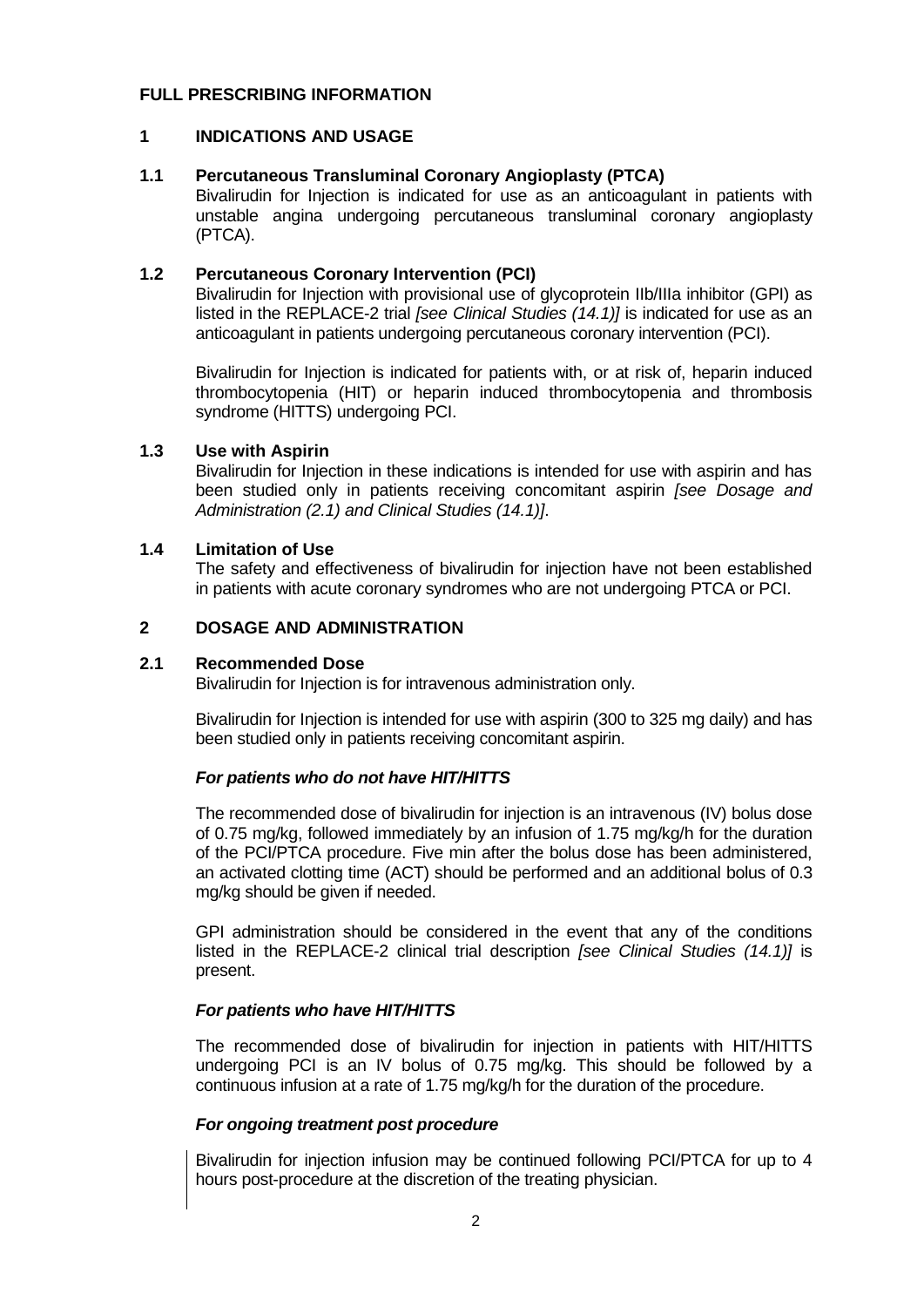#### <span id="page-1-0"></span>**FULL PRESCRIBING INFORMATION**

#### **1 INDICATIONS AND USAGE**

#### **1.1 Percutaneous Transluminal Coronary Angioplasty (PTCA)**

Bivalirudin for Injection is indicated for use as an anticoagulant in patients with unstable angina undergoing percutaneous transluminal coronary angioplasty (PTCA).

#### **1.2 Percutaneous Coronary Intervention (PCI)**

Bivalirudin for Injection with provisional use of glycoprotein IIb/IIIa inhibitor (GPI) as listed in the REPLACE-2 trial *[see Clinical Studies (14.1)]* is indicated for use as an anticoagulant in patients undergoing percutaneous coronary intervention (PCI).

Bivalirudin for Injection is indicated for patients with, or at risk of, heparin induced thrombocytopenia (HIT) or heparin induced thrombocytopenia and thrombosis syndrome (HITTS) undergoing PCI.

# **1.3 Use with Aspirin**

Bivalirudin for Injection in these indications is intended for use with aspirin and has been studied only in patients receiving concomitant aspirin *[see Dosage and Administration (2.1) and Clinical Studies (14.1)]*.

#### **1.4 Limitation of Use**

The safety and effectiveness of bivalirudin for injection have not been established in patients with acute coronary syndromes who are not undergoing PTCA or PCI.

#### **2 DOSAGE AND ADMINISTRATION**

#### **2.1 Recommended Dose**

Bivalirudin for Injection is for intravenous administration only.

Bivalirudin for Injection is intended for use with aspirin (300 to 325 mg daily) and has been studied only in patients receiving concomitant aspirin.

# *For patients who do not have HIT/HITTS*

The recommended dose of bivalirudin for injection is an intravenous (IV) bolus dose of 0.75 mg/kg, followed immediately by an infusion of 1.75 mg/kg/h for the duration of the PCI/PTCA procedure. Five min after the bolus dose has been administered, an activated clotting time (ACT) should be performed and an additional bolus of 0.3 mg/kg should be given if needed.

GPI administration should be considered in the event that any of the conditions listed in the REPLACE-2 clinical trial description *[see Clinical Studies (14.1)]* is present.

#### *For patients who have HIT/HITTS*

The recommended dose of bivalirudin for injection in patients with HIT/HITTS undergoing PCI is an IV bolus of 0.75 mg/kg. This should be followed by a continuous infusion at a rate of 1.75 mg/kg/h for the duration of the procedure.

# *For ongoing treatment post procedure*

Bivalirudin for injection infusion may be continued following PCI/PTCA for up to 4 hours post-procedure at the discretion of the treating physician.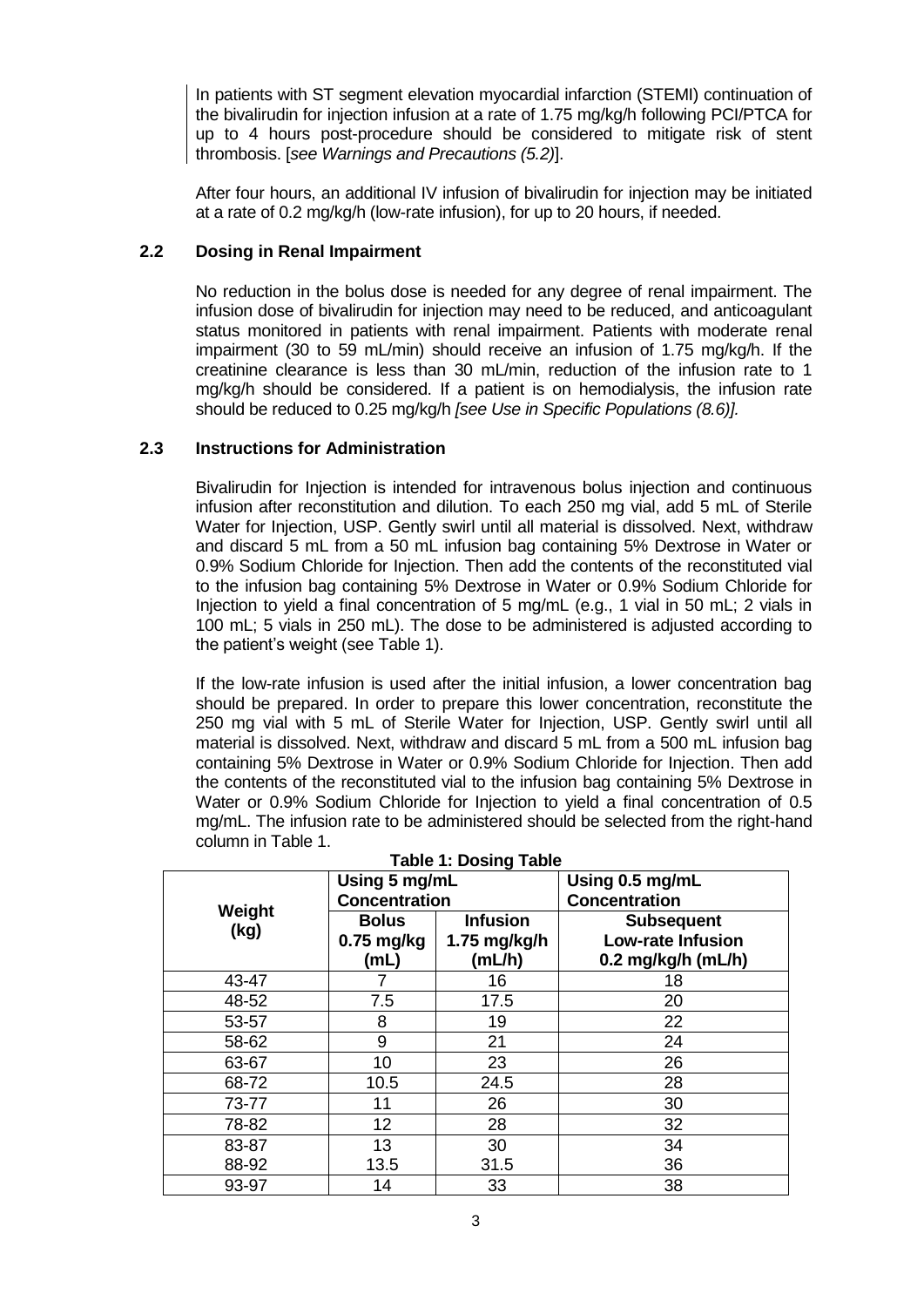<span id="page-2-0"></span>In patients with ST segment elevation myocardial infarction (STEMI) continuation of the bivalirudin for injection infusion at a rate of 1.75 mg/kg/h following PCI/PTCA for up to 4 hours post-procedure should be considered to mitigate risk of stent thrombosis. [*see Warnings and Precautions (5.2)*].

After four hours, an additional IV infusion of bivalirudin for injection may be initiated at a rate of 0.2 mg/kg/h (low-rate infusion), for up to 20 hours, if needed.

# **2.2 Dosing in Renal Impairment**

No reduction in the bolus dose is needed for any degree of renal impairment. The infusion dose of bivalirudin for injection may need to be reduced, and anticoagulant status monitored in patients with renal impairment. Patients with moderate renal impairment (30 to 59 mL/min) should receive an infusion of 1.75 mg/kg/h. If the creatinine clearance is less than 30 mL/min, reduction of the infusion rate to 1 mg/kg/h should be considered. If a patient is on hemodialysis, the infusion rate should be reduced to 0.25 mg/kg/h *[see Use in Specific Populations (8.6)].* 

#### **2.3 Instructions for Administration**

Bivalirudin for Injection is intended for intravenous bolus injection and continuous infusion after reconstitution and dilution. To each 250 mg vial, add 5 mL of Sterile Water for Injection, USP. Gently swirl until all material is dissolved. Next, withdraw and discard 5 mL from a 50 mL infusion bag containing 5% Dextrose in Water or 0.9% Sodium Chloride for Injection. Then add the contents of the reconstituted vial to the infusion bag containing 5% Dextrose in Water or 0.9% Sodium Chloride for Injection to yield a final concentration of 5 mg/mL (e.g., 1 vial in 50 mL; 2 vials in 100 mL; 5 vials in 250 mL). The dose to be administered is adjusted according to the patient's weight (see Table 1).

If the low-rate infusion is used after the initial infusion, a lower concentration bag should be prepared. In order to prepare this lower concentration, reconstitute the 250 mg vial with 5 mL of Sterile Water for Injection, USP. Gently swirl until all material is dissolved. Next, withdraw and discard 5 mL from a 500 mL infusion bag containing 5% Dextrose in Water or 0.9% Sodium Chloride for Injection. Then add the contents of the reconstituted vial to the infusion bag containing 5% Dextrose in Water or 0.9% Sodium Chloride for Injection to yield a final concentration of 0.5 mg/mL. The infusion rate to be administered should be selected from the right-hand column in Table 1.

| Table 1: Dosing Table |                                       |                                           |                                                                     |  |
|-----------------------|---------------------------------------|-------------------------------------------|---------------------------------------------------------------------|--|
|                       | Using 5 mg/mL<br><b>Concentration</b> |                                           | Using 0.5 mg/mL<br><b>Concentration</b>                             |  |
| Weight<br>(kg)        | <b>Bolus</b><br>$0.75$ mg/kg<br>(mL)  | <b>Infusion</b><br>1.75 mg/kg/h<br>(mL/h) | <b>Subsequent</b><br><b>Low-rate Infusion</b><br>0.2 mg/kg/h (mL/h) |  |
| 43-47                 |                                       | 16                                        | 18                                                                  |  |
| 48-52                 | 7.5                                   | 17.5                                      | 20                                                                  |  |
| 53-57                 | 8                                     | 19                                        | 22                                                                  |  |
| 58-62                 | 9                                     | 21                                        | 24                                                                  |  |
| 63-67                 | 10                                    | 23                                        | 26                                                                  |  |
| 68-72                 | 10.5                                  | 24.5                                      | 28                                                                  |  |
| 73-77                 | 11                                    | 26                                        | 30                                                                  |  |
| 78-82                 | 12                                    | 28                                        | 32                                                                  |  |
| 83-87                 | 13                                    | 30                                        | 34                                                                  |  |
| 88-92                 | 13.5                                  | 31.5                                      | 36                                                                  |  |
| 93-97                 | 14                                    | 33                                        | 38                                                                  |  |

|  | <b>Table 1: Dosing Table</b> |  |
|--|------------------------------|--|
|  |                              |  |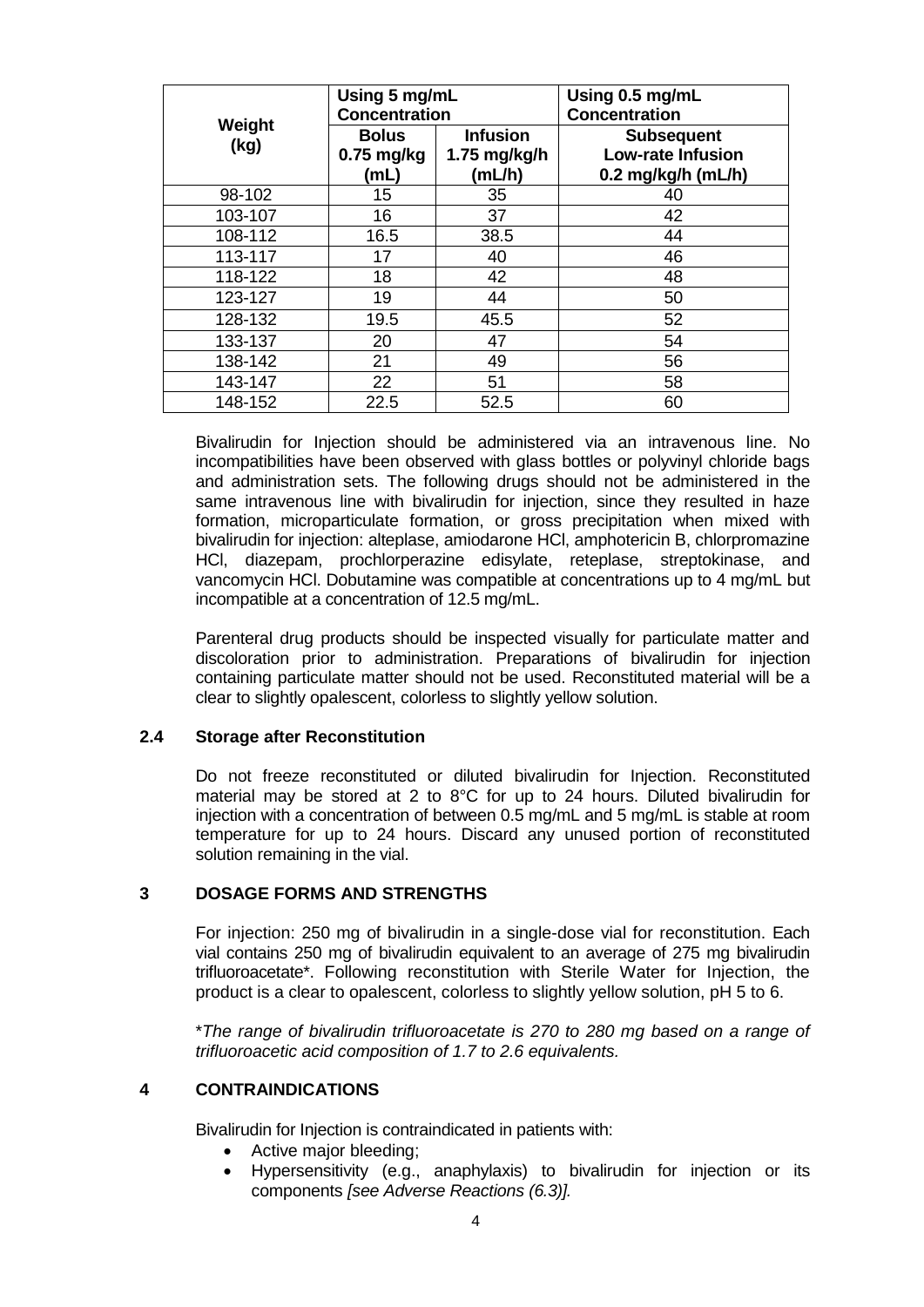<span id="page-3-0"></span>

|                | Using 5 mg/mL<br><b>Concentration</b> |                                             | Using 0.5 mg/mL<br><b>Concentration</b>                               |
|----------------|---------------------------------------|---------------------------------------------|-----------------------------------------------------------------------|
| Weight<br>(kg) | <b>Bolus</b><br>$0.75$ mg/kg<br>(mL)  | <b>Infusion</b><br>$1.75$ mg/kg/h<br>(mL/h) | <b>Subsequent</b><br><b>Low-rate Infusion</b><br>$0.2$ mg/kg/h (mL/h) |
| 98-102         | 15                                    | 35                                          | 40                                                                    |
| 103-107        | 16                                    | 37                                          | 42                                                                    |
| 108-112        | 16.5                                  | 38.5                                        | 44                                                                    |
| 113-117        | 17                                    | 40                                          | 46                                                                    |
| 118-122        | 18                                    | 42                                          | 48                                                                    |
| 123-127        | 19                                    | 44                                          | 50                                                                    |
| 128-132        | 19.5                                  | 45.5                                        | 52                                                                    |
| 133-137        | 20                                    | 47                                          | 54                                                                    |
| 138-142        | 21                                    | 49                                          | 56                                                                    |
| 143-147        | 22                                    | 51                                          | 58                                                                    |
| 148-152        | 22.5                                  | 52.5                                        | 60                                                                    |

Bivalirudin for Injection should be administered via an intravenous line. No incompatibilities have been observed with glass bottles or polyvinyl chloride bags and administration sets. The following drugs should not be administered in the same intravenous line with bivalirudin for injection, since they resulted in haze formation, microparticulate formation, or gross precipitation when mixed with bivalirudin for injection: alteplase, amiodarone HCl, amphotericin B, chlorpromazine HCl, diazepam, prochlorperazine edisylate, reteplase, streptokinase, and vancomycin HCl. Dobutamine was compatible at concentrations up to 4 mg/mL but incompatible at a concentration of 12.5 mg/mL.

Parenteral drug products should be inspected visually for particulate matter and discoloration prior to administration. Preparations of bivalirudin for injection containing particulate matter should not be used. Reconstituted material will be a clear to slightly opalescent, colorless to slightly yellow solution.

# **2.4 Storage after Reconstitution**

Do not freeze reconstituted or diluted bivalirudin for Injection. Reconstituted material may be stored at 2 to 8°C for up to 24 hours. Diluted bivalirudin for injection with a concentration of between 0.5 mg/mL and 5 mg/mL is stable at room temperature for up to 24 hours. Discard any unused portion of reconstituted solution remaining in the vial.

# **3 DOSAGE FORMS AND STRENGTHS**

For injection: 250 mg of bivalirudin in a single-dose vial for reconstitution. Each vial contains 250 mg of bivalirudin equivalent to an average of 275 mg bivalirudin trifluoroacetate\*. Following reconstitution with Sterile Water for Injection, the product is a clear to opalescent, colorless to slightly yellow solution, pH 5 to 6.

\**The range of bivalirudin trifluoroacetate is 270 to 280 mg based on a range of trifluoroacetic acid composition of 1.7 to 2.6 equivalents.* 

# **4 CONTRAINDICATIONS**

Bivalirudin for Injection is contraindicated in patients with:

- Active major bleeding;
- Hypersensitivity (e.g., anaphylaxis) to bivalirudin for injection or its components *[see Adverse Reactions (6.3)].*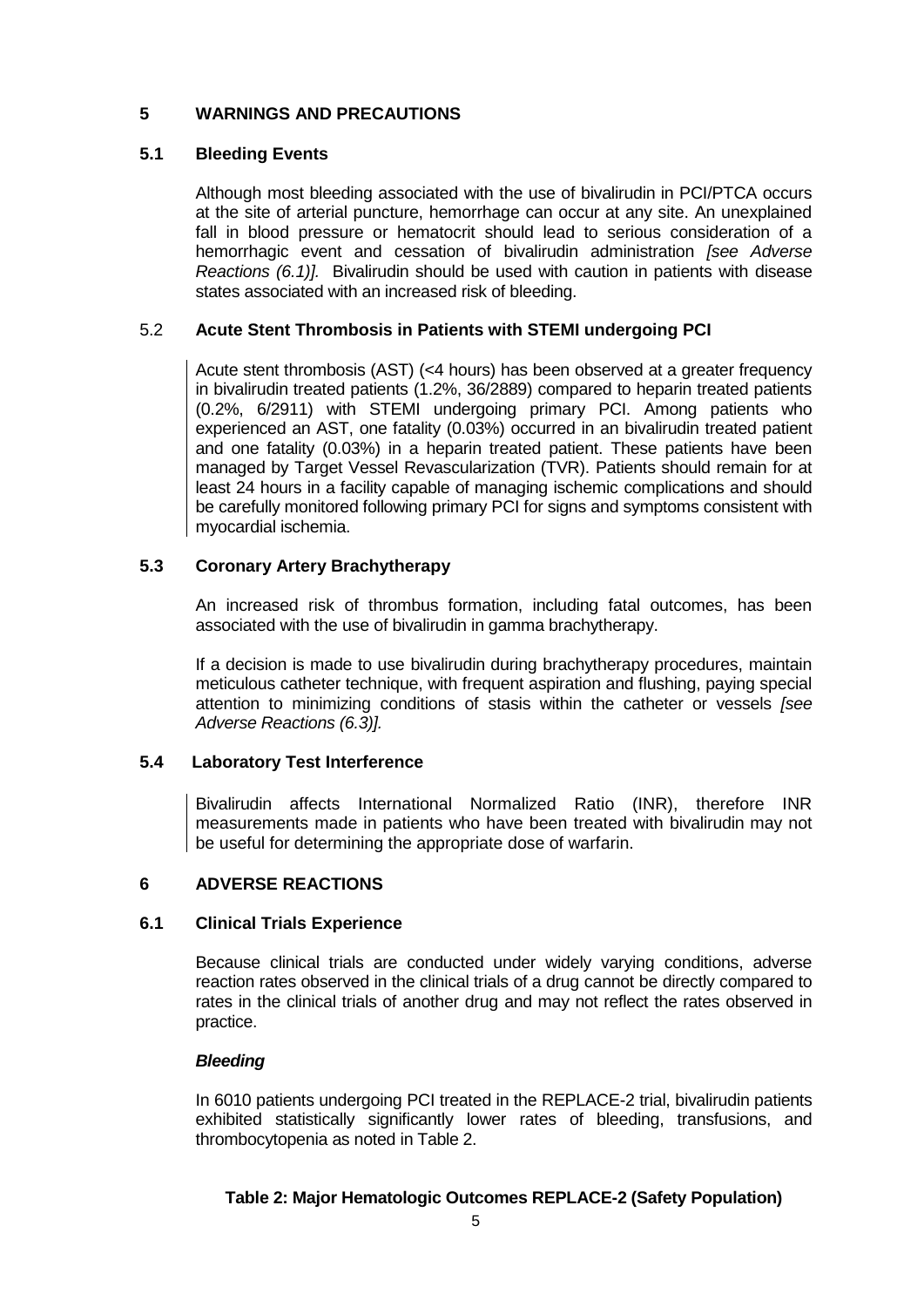# <span id="page-4-0"></span>**5 WARNINGS AND PRECAUTIONS**

# **5.1 Bleeding Events**

Although most bleeding associated with the use of bivalirudin in PCI/PTCA occurs at the site of arterial puncture, hemorrhage can occur at any site. An unexplained fall in blood pressure or hematocrit should lead to serious consideration of a hemorrhagic event and cessation of bivalirudin administration *[see Adverse Reactions (6.1)].* Bivalirudin should be used with caution in patients with disease states associated with an increased risk of bleeding.

# 5.2 **Acute Stent Thrombosis in Patients with STEMI undergoing PCI**

Acute stent thrombosis (AST) (<4 hours) has been observed at a greater frequency in bivalirudin treated patients (1.2%, 36/2889) compared to heparin treated patients (0.2%, 6/2911) with STEMI undergoing primary PCI. Among patients who experienced an AST, one fatality (0.03%) occurred in an bivalirudin treated patient and one fatality (0.03%) in a heparin treated patient. These patients have been managed by Target Vessel Revascularization (TVR). Patients should remain for at least 24 hours in a facility capable of managing ischemic complications and should be carefully monitored following primary PCI for signs and symptoms consistent with myocardial ischemia.

# **5.3 Coronary Artery Brachytherapy**

An increased risk of thrombus formation, including fatal outcomes, has been associated with the use of bivalirudin in gamma brachytherapy.

If a decision is made to use bivalirudin during brachytherapy procedures, maintain meticulous catheter technique, with frequent aspiration and flushing, paying special attention to minimizing conditions of stasis within the catheter or vessels *[see Adverse Reactions (6.3)].* 

# **5.4 Laboratory Test Interference**

Bivalirudin affects International Normalized Ratio (INR), therefore INR measurements made in patients who have been treated with bivalirudin may not be useful for determining the appropriate dose of warfarin.

# **6 ADVERSE REACTIONS**

# **6.1 Clinical Trials Experience**

Because clinical trials are conducted under widely varying conditions, adverse reaction rates observed in the clinical trials of a drug cannot be directly compared to rates in the clinical trials of another drug and may not reflect the rates observed in practice.

# *Bleeding*

In 6010 patients undergoing PCI treated in the REPLACE-2 trial, bivalirudin patients exhibited statistically significantly lower rates of bleeding, transfusions, and thrombocytopenia as noted in Table 2.

# **Table 2: Major Hematologic Outcomes REPLACE-2 (Safety Population)**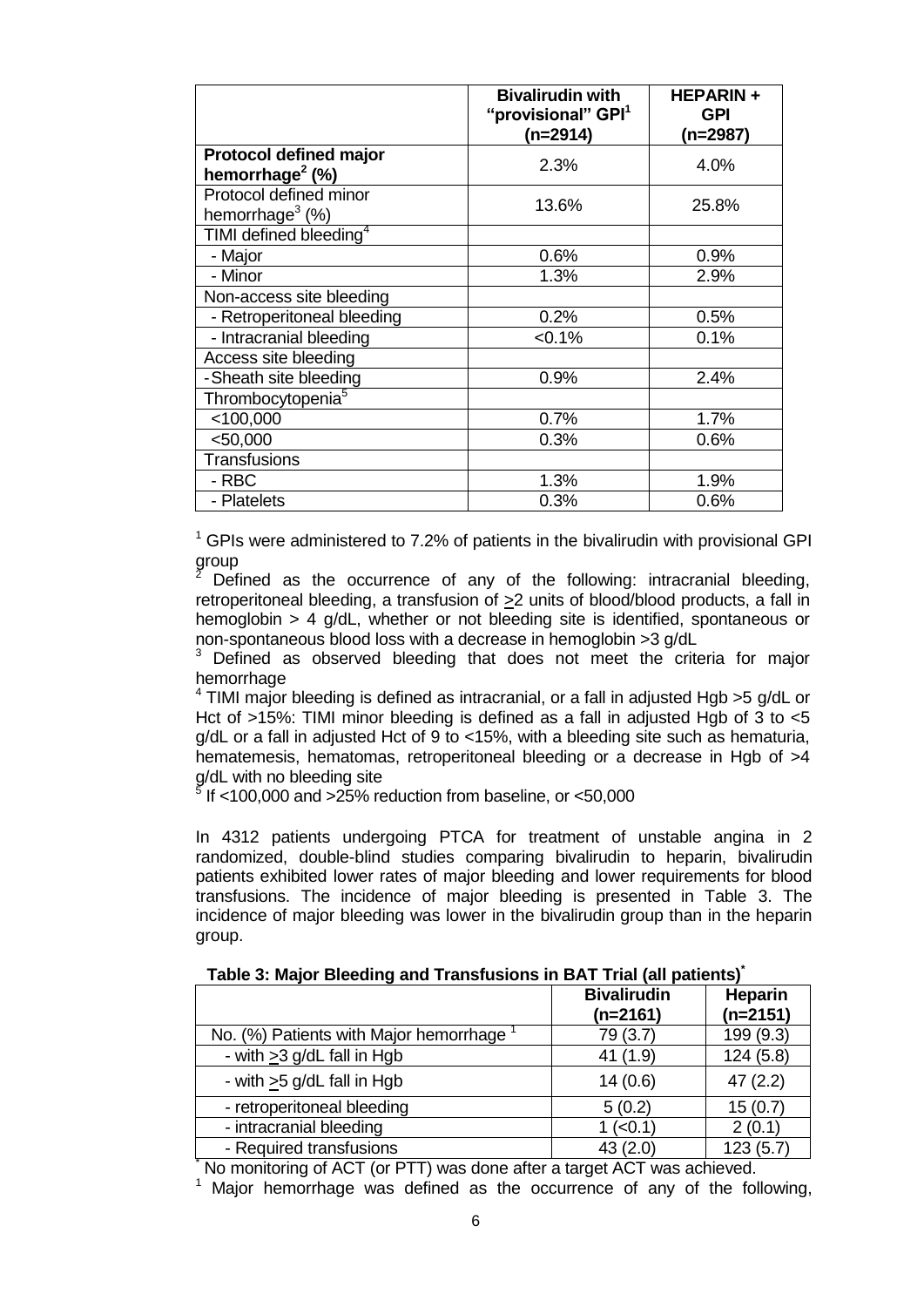|                                                              | <b>Bivalirudin with</b><br>"provisional" GPI <sup>1</sup><br>$(n=2914)$ | <b>HEPARIN+</b><br><b>GPI</b><br>(n=2987) |
|--------------------------------------------------------------|-------------------------------------------------------------------------|-------------------------------------------|
| <b>Protocol defined major</b><br>hemorrhage <sup>2</sup> (%) | 2.3%                                                                    | 4.0%                                      |
| Protocol defined minor<br>hemorrhage <sup>3</sup> (%)        | 13.6%                                                                   | 25.8%                                     |
| TIMI defined bleeding <sup>4</sup>                           |                                                                         |                                           |
| - Major                                                      | 0.6%                                                                    | 0.9%                                      |
| - Minor                                                      | 1.3%                                                                    | 2.9%                                      |
| Non-access site bleeding                                     |                                                                         |                                           |
| - Retroperitoneal bleeding                                   | 0.2%                                                                    | 0.5%                                      |
| - Intracranial bleeding                                      | $< 0.1\%$                                                               | 0.1%                                      |
| Access site bleeding                                         |                                                                         |                                           |
| -Sheath site bleeding                                        | 0.9%                                                                    | 2.4%                                      |
| Thrombocytopenia <sup>5</sup>                                |                                                                         |                                           |
| $<$ 100,000                                                  | 0.7%                                                                    | 1.7%                                      |
| $<$ 50,000                                                   | 0.3%                                                                    | 0.6%                                      |
| <b>Transfusions</b>                                          |                                                                         |                                           |
| - RBC                                                        | 1.3%                                                                    | 1.9%                                      |
| - Platelets                                                  | 0.3%                                                                    | 0.6%                                      |

 $1$  GPIs were administered to 7.2% of patients in the bivalirudin with provisional GPI group

2 Defined as the occurrence of any of the following: intracranial bleeding, retroperitoneal bleeding, a transfusion of >2 units of blood/blood products, a fall in hemoglobin > 4 g/dL, whether or not bleeding site is identified, spontaneous or non-spontaneous blood loss with a decrease in hemoglobin >3 g/dL

<sup>3</sup> Defined as observed bleeding that does not meet the criteria for major hemorrhage

 $4$  TIMI major bleeding is defined as intracranial, or a fall in adjusted Hgb >5 g/dL or Hct of >15%: TIMI minor bleeding is defined as a fall in adjusted Hgb of 3 to <5 g/dL or a fall in adjusted Hct of 9 to <15%, with a bleeding site such as hematuria, hematemesis, hematomas, retroperitoneal bleeding or a decrease in Hgb of  $>4$ g/dL with no bleeding site<br><sup>5</sup> If <100,000 and >25% re

If  $<$ 100,000 and  $>$ 25% reduction from baseline, or  $<$ 50,000

In 4312 patients undergoing PTCA for treatment of unstable angina in 2 randomized, double-blind studies comparing bivalirudin to heparin, bivalirudin patients exhibited lower rates of major bleeding and lower requirements for blood transfusions. The incidence of major bleeding is presented in Table 3. The incidence of major bleeding was lower in the bivalirudin group than in the heparin group.

|                                                                        | <b>Bivalirudin</b><br>$(n=2161)$ | <b>Heparin</b><br>$(n=2151)$ |  |
|------------------------------------------------------------------------|----------------------------------|------------------------------|--|
| No. (%) Patients with Major hemorrhage                                 | 79 (3.7)                         | 199 (9.3)                    |  |
| - with $>3$ g/dL fall in Hgb                                           | 41(1.9)                          | 124(5.8)                     |  |
| - with $\geq$ 5 g/dL fall in Hgb                                       | 14(0.6)                          | 47(2.2)                      |  |
| - retroperitoneal bleeding                                             | 5(0.2)                           | 15(0.7)                      |  |
| - intracranial bleeding                                                | $1$ (<0.1)                       | 2(0.1)                       |  |
| - Required transfusions                                                | 43(2.0)                          | 123(5.7)                     |  |
| No monitoring of ACT (or DTT) was done ofter a terget ACT was ashiound |                                  |                              |  |

**Table 3: Major Bleeding and Transfusions in BAT Trial (all patients)\*** 

No monitoring of ACT (or PTT) was done after a target ACT was achieved.

<sup>1</sup> Major hemorrhage was defined as the occurrence of any of the following,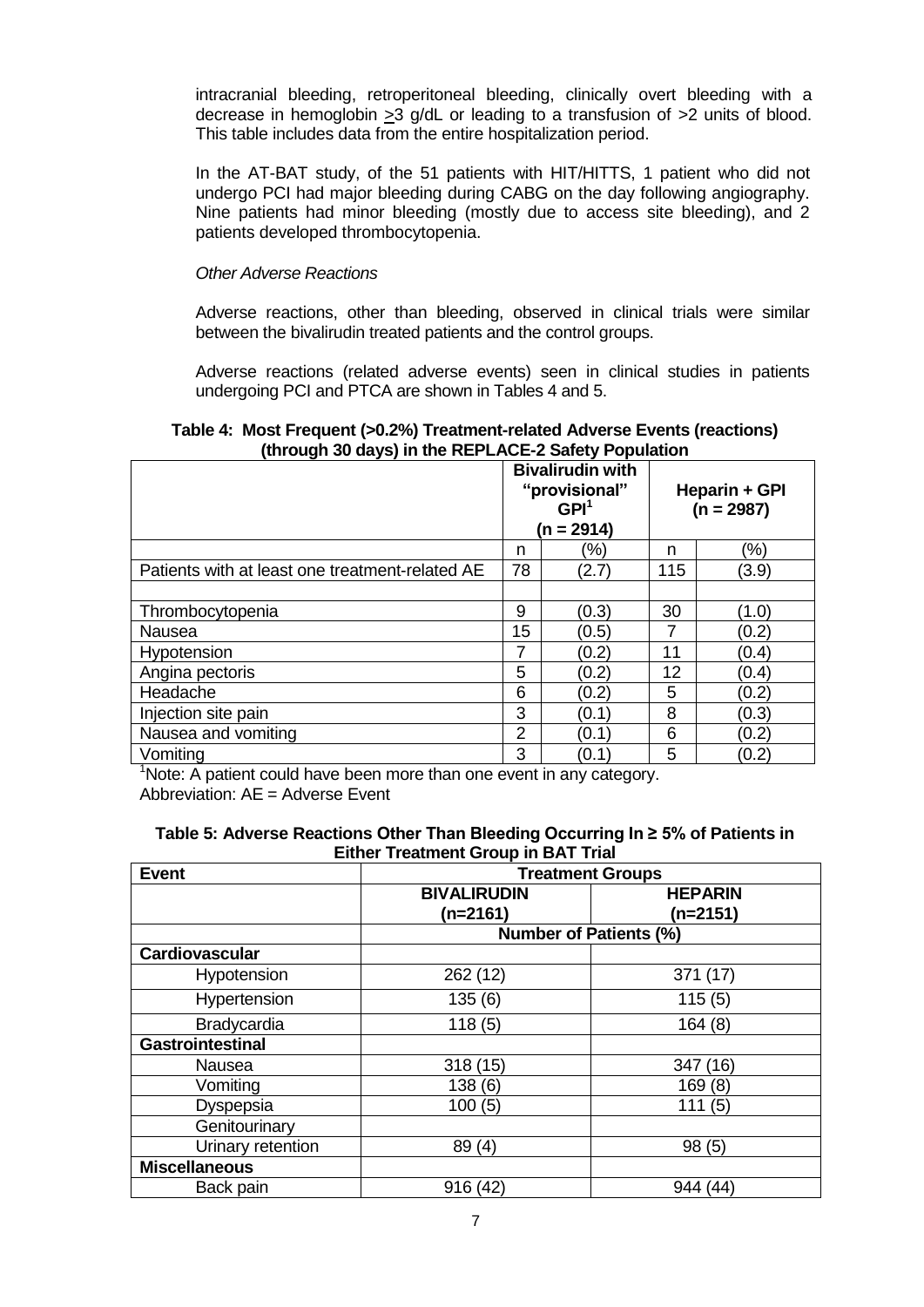intracranial bleeding, retroperitoneal bleeding, clinically overt bleeding with a decrease in hemoglobin >3 g/dL or leading to a transfusion of >2 units of blood. This table includes data from the entire hospitalization period.

In the AT-BAT study, of the 51 patients with HIT/HITTS, 1 patient who did not undergo PCI had major bleeding during CABG on the day following angiography. Nine patients had minor bleeding (mostly due to access site bleeding), and 2 patients developed thrombocytopenia.

#### *Other Adverse Reactions*

Adverse reactions, other than bleeding, observed in clinical trials were similar between the bivalirudin treated patients and the control groups.

Adverse reactions (related adverse events) seen in clinical studies in patients undergoing PCI and PTCA are shown in Tables 4 and 5.

#### **Table 4: Most Frequent (>0.2%) Treatment-related Adverse Events (reactions) (through 30 days) in the REPLACE-2 Safety Population**

|                                                 | <b>Bivalirudin with</b><br>"provisional"<br>$GPI^1$<br>(n = 2914) |       | Heparin + GPI<br>$(n = 2987)$ |         |
|-------------------------------------------------|-------------------------------------------------------------------|-------|-------------------------------|---------|
|                                                 | n                                                                 | '%)   | n                             | $(\% )$ |
| Patients with at least one treatment-related AE | 78                                                                | (2.7) | 115                           | (3.9)   |
|                                                 |                                                                   |       |                               |         |
| Thrombocytopenia                                | 9                                                                 | (0.3) | 30                            | (1.0)   |
| Nausea                                          | 15                                                                | (0.5) | 7                             | (0.2)   |
| Hypotension                                     |                                                                   | (0.2) | 11                            | (0.4)   |
| Angina pectoris                                 | 5                                                                 | (0.2) | 12                            | (0.4)   |
| Headache                                        | 6                                                                 | (0.2) | 5                             | (0.2)   |
| Injection site pain                             | 3                                                                 | (0.1) | 8                             | (0.3)   |
| Nausea and vomiting                             | $\overline{2}$                                                    | (0.1) | 6                             | (0.2)   |
| Vomiting                                        | 3                                                                 | (0.1  | 5                             | (0.2)   |

<sup>1</sup>Note: A patient could have been more than one event in any category. Abbreviation: AE = Adverse Event

|                                            | Table 5: Adverse Reactions Other Than Bleeding Occurring In $\geq$ 5% of Patients in |  |  |
|--------------------------------------------|--------------------------------------------------------------------------------------|--|--|
| <b>Either Treatment Group in BAT Trial</b> |                                                                                      |  |  |
|                                            |                                                                                      |  |  |

| <b>Event</b>            | <b>Treatment Groups</b> |                               |  |
|-------------------------|-------------------------|-------------------------------|--|
|                         | <b>BIVALIRUDIN</b>      | <b>HEPARIN</b>                |  |
|                         | (n=2161)                | (n=2151)                      |  |
|                         |                         | <b>Number of Patients (%)</b> |  |
| Cardiovascular          |                         |                               |  |
| Hypotension             | 262 (12)                | 371 (17)                      |  |
| Hypertension            | 135(6)                  | 115(5)                        |  |
| Bradycardia             | 118(5)                  | 164(8)                        |  |
| <b>Gastrointestinal</b> |                         |                               |  |
| Nausea                  | 318 (15)                | 347<br>(16)                   |  |
| Vomiting                | 138(6)                  | 169(8)                        |  |
| Dyspepsia               | 100(5)                  | 111 (5)                       |  |
| Genitourinary           |                         |                               |  |
| Urinary retention       | 89(4)                   | 98(5)                         |  |
| <b>Miscellaneous</b>    |                         |                               |  |
| Back pain               | 916(42)                 | (44)<br>944                   |  |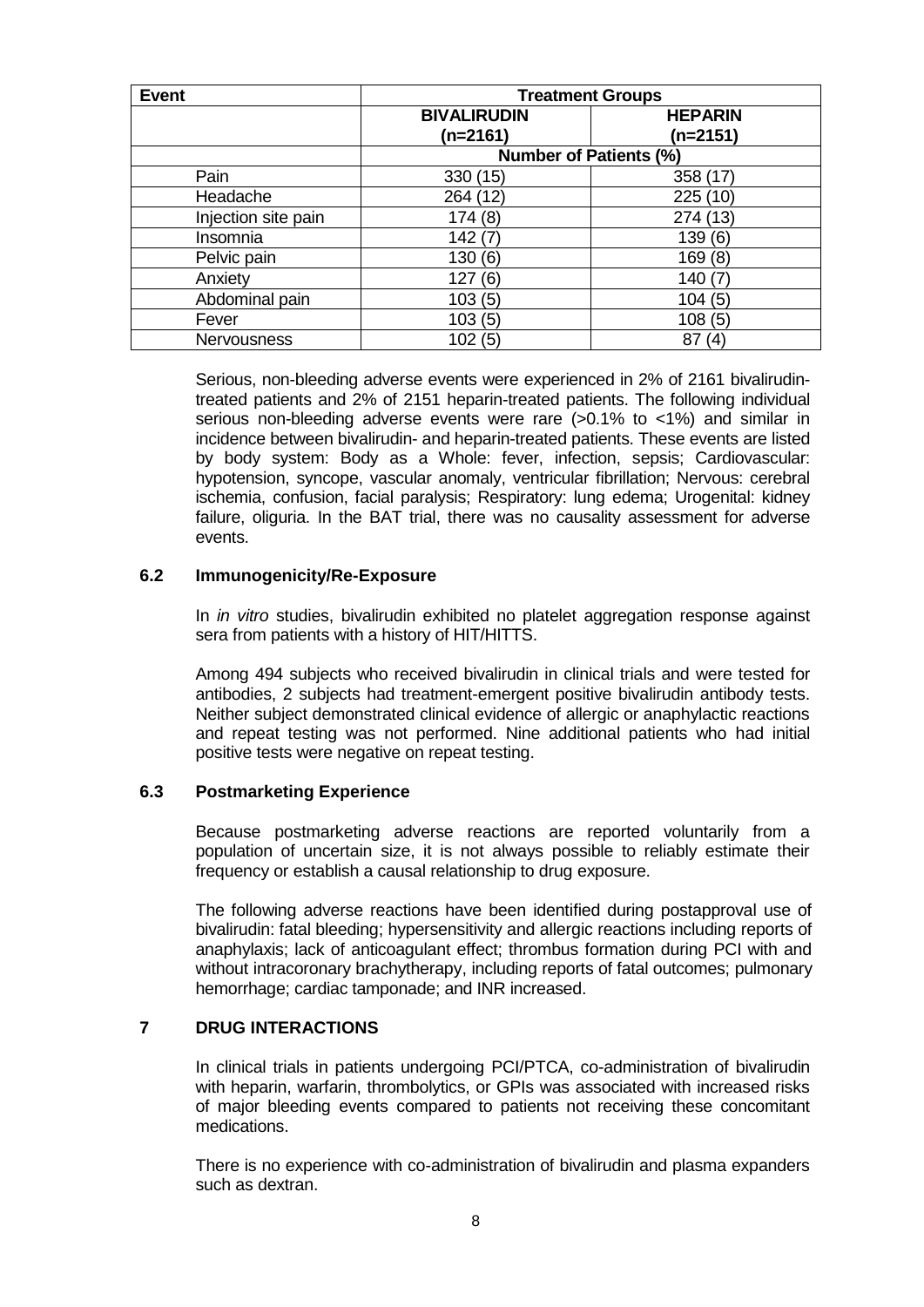<span id="page-7-0"></span>

| <b>Event</b>        | <b>Treatment Groups</b> |                               |  |
|---------------------|-------------------------|-------------------------------|--|
|                     | <b>BIVALIRUDIN</b>      | <b>HEPARIN</b>                |  |
|                     | $(n=2161)$              | (n=2151)                      |  |
|                     |                         | <b>Number of Patients (%)</b> |  |
| Pain                | 330 (15)                | 358 (17)                      |  |
| Headache            | 264 (12)                | 225(10)                       |  |
| Injection site pain | 174(8)                  | 274 (13)                      |  |
| Insomnia            | 142(7)                  | 139(6)                        |  |
| Pelvic pain         | 130(6)                  | 169(8)                        |  |
| Anxiety             | 127(6)                  | 140                           |  |
| Abdominal pain      | 103(5)                  | 104(5)                        |  |
| Fever               | 103(5)                  | 108(5)                        |  |
| <b>Nervousness</b>  | 102(5)                  | 87<br>(4                      |  |

Serious, non-bleeding adverse events were experienced in 2% of 2161 bivalirudintreated patients and 2% of 2151 heparin-treated patients. The following individual serious non-bleeding adverse events were rare (>0.1% to <1%) and similar in incidence between bivalirudin- and heparin-treated patients. These events are listed by body system: Body as a Whole: fever, infection, sepsis; Cardiovascular: hypotension, syncope, vascular anomaly, ventricular fibrillation; Nervous: cerebral ischemia, confusion, facial paralysis; Respiratory: lung edema; Urogenital: kidney failure, oliguria. In the BAT trial, there was no causality assessment for adverse events.

#### **6.2 Immunogenicity/Re-Exposure**

In *in vitro* studies, bivalirudin exhibited no platelet aggregation response against sera from patients with a history of HIT/HITTS.

Among 494 subjects who received bivalirudin in clinical trials and were tested for antibodies, 2 subjects had treatment-emergent positive bivalirudin antibody tests. Neither subject demonstrated clinical evidence of allergic or anaphylactic reactions and repeat testing was not performed. Nine additional patients who had initial positive tests were negative on repeat testing.

#### **6.3 Postmarketing Experience**

Because postmarketing adverse reactions are reported voluntarily from a population of uncertain size, it is not always possible to reliably estimate their frequency or establish a causal relationship to drug exposure.

The following adverse reactions have been identified during postapproval use of bivalirudin: fatal bleeding; hypersensitivity and allergic reactions including reports of anaphylaxis; lack of anticoagulant effect; thrombus formation during PCI with and without intracoronary brachytherapy, including reports of fatal outcomes; pulmonary hemorrhage; cardiac tamponade; and INR increased.

# **7 DRUG INTERACTIONS**

In clinical trials in patients undergoing PCI/PTCA, co-administration of bivalirudin with heparin, warfarin, thrombolytics, or GPIs was associated with increased risks of major bleeding events compared to patients not receiving these concomitant medications.

There is no experience with co-administration of bivalirudin and plasma expanders such as dextran.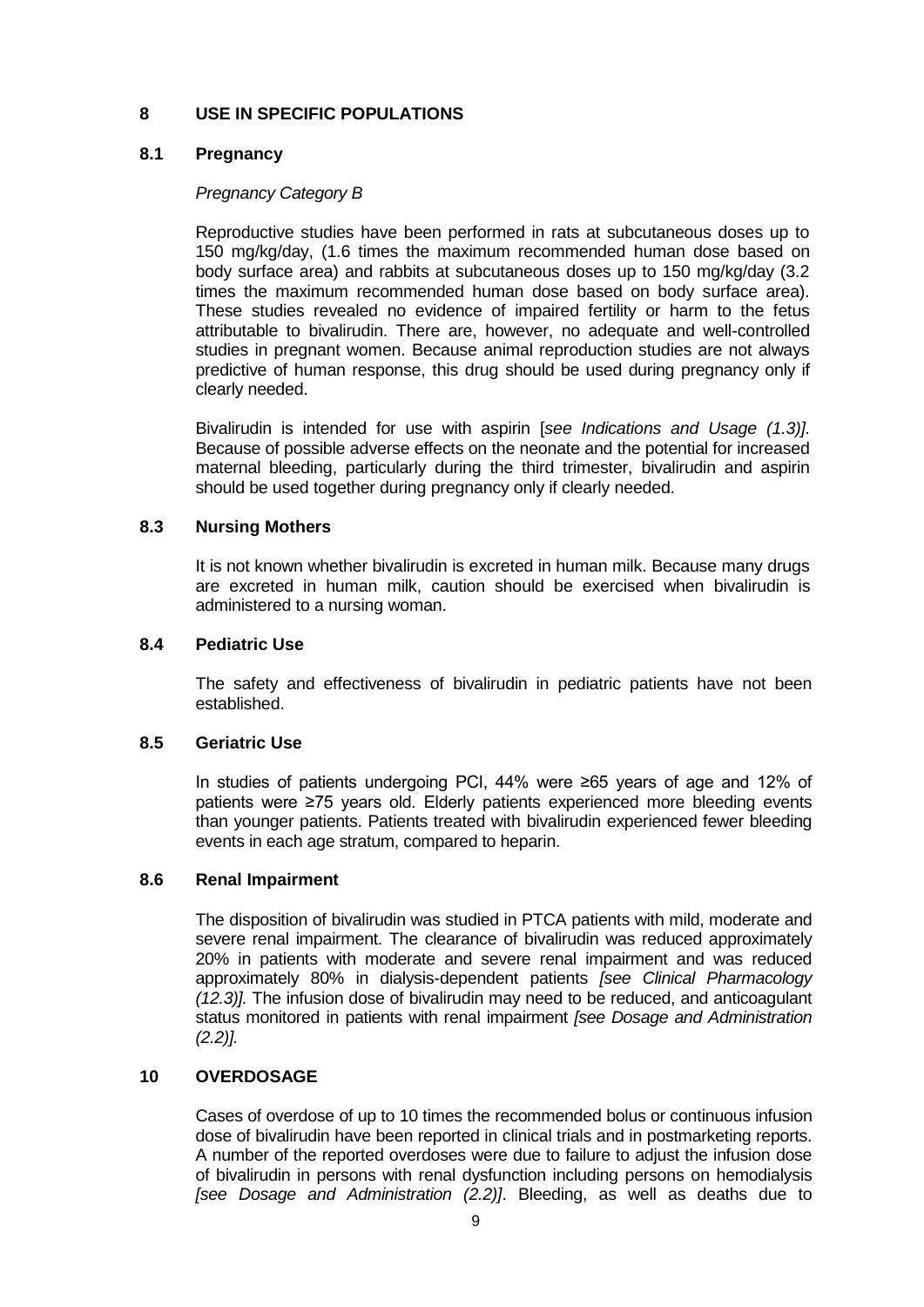# <span id="page-8-0"></span>**8 USE IN SPECIFIC POPULATIONS**

# **8.1 Pregnancy**

# *Pregnancy Category B*

Reproductive studies have been performed in rats at subcutaneous doses up to 150 mg/kg/day, (1.6 times the maximum recommended human dose based on body surface area) and rabbits at subcutaneous doses up to 150 mg/kg/day (3.2 times the maximum recommended human dose based on body surface area). These studies revealed no evidence of impaired fertility or harm to the fetus attributable to bivalirudin. There are, however, no adequate and well-controlled studies in pregnant women. Because animal reproduction studies are not always predictive of human response, this drug should be used during pregnancy only if clearly needed.

Bivalirudin is intended for use with aspirin [*see Indications and Usage (1.3)].*  Because of possible adverse effects on the neonate and the potential for increased maternal bleeding, particularly during the third trimester, bivalirudin and aspirin should be used together during pregnancy only if clearly needed.

# **8.3 Nursing Mothers**

It is not known whether bivalirudin is excreted in human milk. Because many drugs are excreted in human milk, caution should be exercised when bivalirudin is administered to a nursing woman.

#### **8.4 Pediatric Use**

The safety and effectiveness of bivalirudin in pediatric patients have not been established.

# **8.5 Geriatric Use**

In studies of patients undergoing PCI, 44% were ≥65 years of age and 12% of patients were ≥75 years old. Elderly patients experienced more bleeding events than younger patients. Patients treated with bivalirudin experienced fewer bleeding events in each age stratum, compared to heparin.

#### **8.6 Renal Impairment**

The disposition of bivalirudin was studied in PTCA patients with mild, moderate and severe renal impairment. The clearance of bivalirudin was reduced approximately 20% in patients with moderate and severe renal impairment and was reduced approximately 80% in dialysis-dependent patients *[see Clinical Pharmacology (12.3)].* The infusion dose of bivalirudin may need to be reduced, and anticoagulant status monitored in patients with renal impairment *[see Dosage and Administration (2.2)].*

# **10 OVERDOSAGE**

Cases of overdose of up to 10 times the recommended bolus or continuous infusion dose of bivalirudin have been reported in clinical trials and in postmarketing reports. A number of the reported overdoses were due to failure to adjust the infusion dose of bivalirudin in persons with renal dysfunction including persons on hemodialysis *[see Dosage and Administration (2.2)]*. Bleeding, as well as deaths due to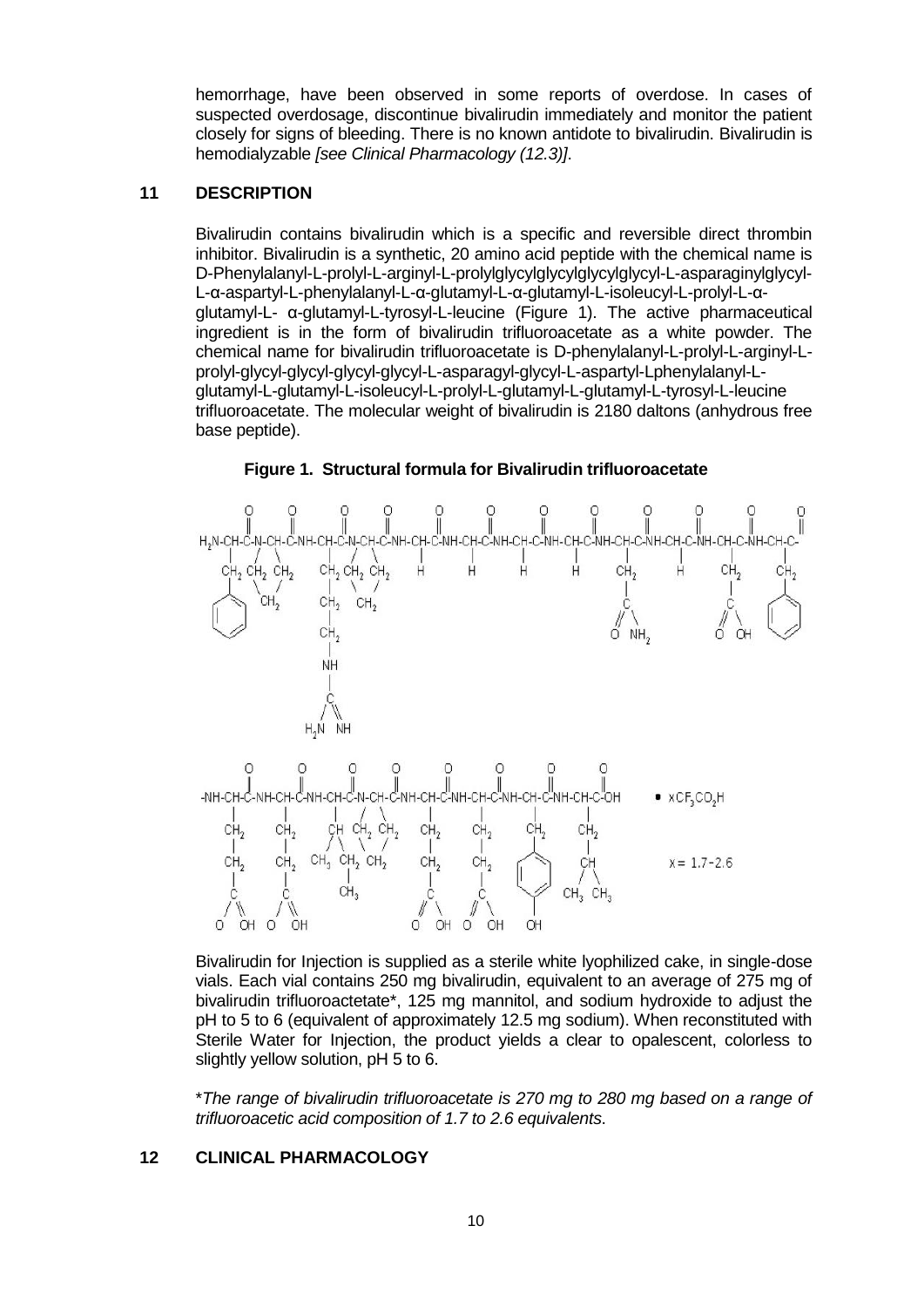<span id="page-9-0"></span>hemorrhage, have been observed in some reports of overdose. In cases of suspected overdosage, discontinue bivalirudin immediately and monitor the patient closely for signs of bleeding. There is no known antidote to bivalirudin. Bivalirudin is hemodialyzable *[see Clinical Pharmacology (12.3)]*.

# **11 DESCRIPTION**

Bivalirudin contains bivalirudin which is a specific and reversible direct thrombin inhibitor. Bivalirudin is a synthetic, 20 amino acid peptide with the chemical name is D-Phenylalanyl-L-prolyl-L-arginyl-L-prolylglycylglycylglycylglycyl-L-asparaginylglycyl-L-α-aspartyl-L-phenylalanyl-L-α-glutamyl-L-α-glutamyl-L-isoleucyl-L-prolyl-L-αglutamyl-L- α-glutamyl-L-tyrosyl-L-leucine (Figure 1). The active pharmaceutical ingredient is in the form of bivalirudin trifluoroacetate as a white powder. The chemical name for bivalirudin trifluoroacetate is D-phenylalanyl-L-prolyl-L-arginyl-Lprolyl-glycyl-glycyl-glycyl-glycyl-L-asparagyl-glycyl-L-aspartyl-Lphenylalanyl-Lglutamyl-L-glutamyl-L-isoleucyl-L-prolyl-L-glutamyl-L-glutamyl-L-tyrosyl-L-leucine trifluoroacetate. The molecular weight of bivalirudin is 2180 daltons (anhydrous free base peptide).



#### **Figure 1. Structural formula for Bivalirudin trifluoroacetate**

Bivalirudin for Injection is supplied as a sterile white lyophilized cake, in single-dose vials. Each vial contains 250 mg bivalirudin, equivalent to an average of 275 mg of bivalirudin trifluoroactetate\*, 125 mg mannitol, and sodium hydroxide to adjust the pH to 5 to 6 (equivalent of approximately 12.5 mg sodium). When reconstituted with Sterile Water for Injection, the product yields a clear to opalescent, colorless to slightly yellow solution, pH 5 to 6.

\**The range of bivalirudin trifluoroacetate is 270 mg to 280 mg based on a range of trifluoroacetic acid composition of 1.7 to 2.6 equivalents*.

#### **12 CLINICAL PHARMACOLOGY**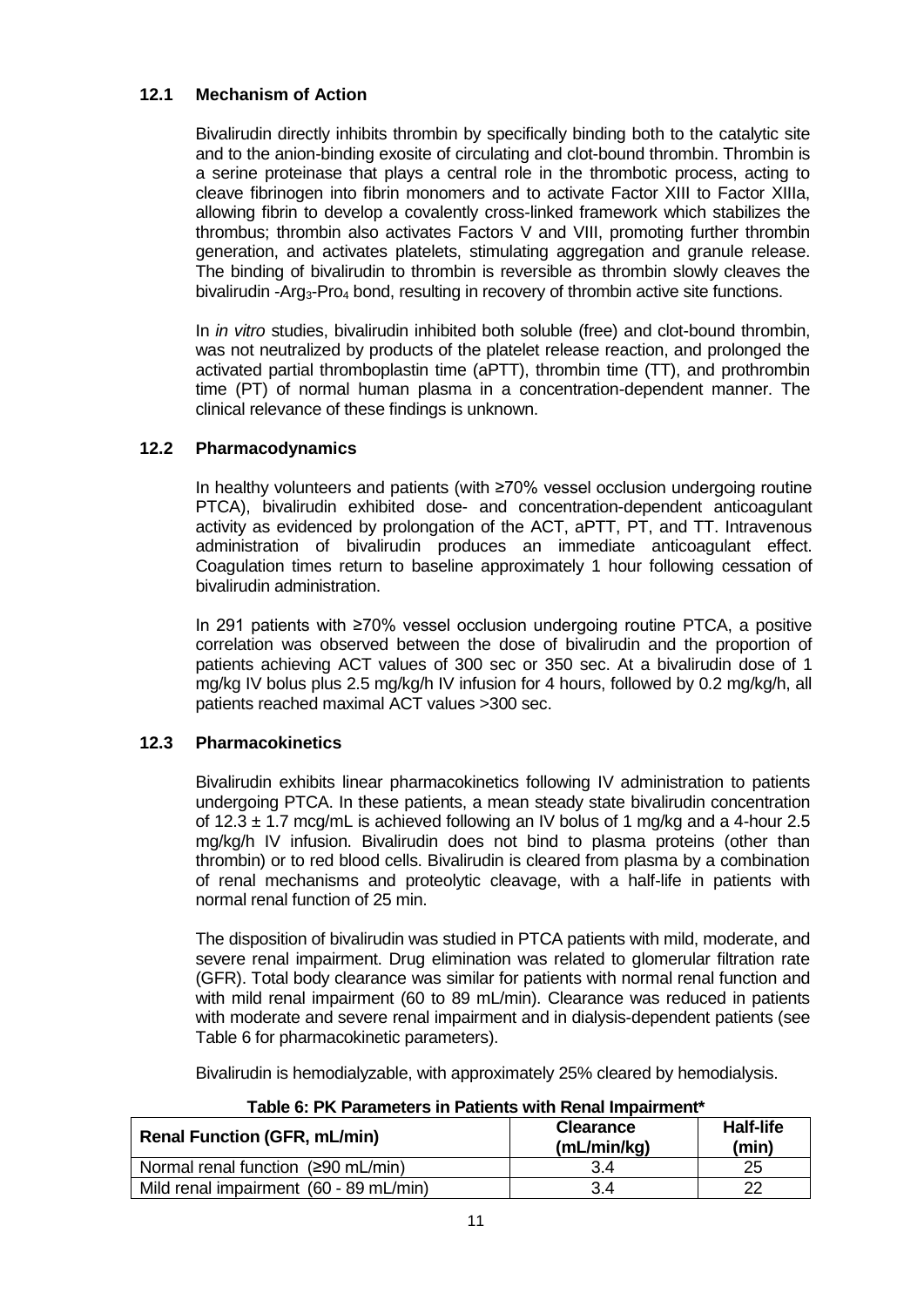# <span id="page-10-0"></span>**12.1 Mechanism of Action**

Bivalirudin directly inhibits thrombin by specifically binding both to the catalytic site and to the anion-binding exosite of circulating and clot-bound thrombin. Thrombin is a serine proteinase that plays a central role in the thrombotic process, acting to cleave fibrinogen into fibrin monomers and to activate Factor XIII to Factor XIIIa, allowing fibrin to develop a covalently cross-linked framework which stabilizes the thrombus; thrombin also activates Factors V and VIII, promoting further thrombin generation, and activates platelets, stimulating aggregation and granule release. The binding of bivalirudin to thrombin is reversible as thrombin slowly cleaves the bivalirudin -Arg<sub>3</sub>-Pro<sub>4</sub> bond, resulting in recovery of thrombin active site functions.

In *in vitro* studies, bivalirudin inhibited both soluble (free) and clot-bound thrombin, was not neutralized by products of the platelet release reaction, and prolonged the activated partial thromboplastin time (aPTT), thrombin time (TT), and prothrombin time (PT) of normal human plasma in a concentration-dependent manner. The clinical relevance of these findings is unknown.

# **12.2 Pharmacodynamics**

In healthy volunteers and patients (with ≥70% vessel occlusion undergoing routine PTCA), bivalirudin exhibited dose- and concentration-dependent anticoagulant activity as evidenced by prolongation of the ACT, aPTT, PT, and TT. Intravenous administration of bivalirudin produces an immediate anticoagulant effect. Coagulation times return to baseline approximately 1 hour following cessation of bivalirudin administration.

In 291 patients with ≥70% vessel occlusion undergoing routine PTCA, a positive correlation was observed between the dose of bivalirudin and the proportion of patients achieving ACT values of 300 sec or 350 sec. At a bivalirudin dose of 1 mg/kg IV bolus plus 2.5 mg/kg/h IV infusion for 4 hours, followed by 0.2 mg/kg/h, all patients reached maximal ACT values >300 sec.

# **12.3 Pharmacokinetics**

Bivalirudin exhibits linear pharmacokinetics following IV administration to patients undergoing PTCA. In these patients, a mean steady state bivalirudin concentration of 12.3  $\pm$  1.7 mcg/mL is achieved following an IV bolus of 1 mg/kg and a 4-hour 2.5 mg/kg/h IV infusion. Bivalirudin does not bind to plasma proteins (other than thrombin) or to red blood cells. Bivalirudin is cleared from plasma by a combination of renal mechanisms and proteolytic cleavage, with a half-life in patients with normal renal function of 25 min.

The disposition of bivalirudin was studied in PTCA patients with mild, moderate, and severe renal impairment. Drug elimination was related to glomerular filtration rate (GFR). Total body clearance was similar for patients with normal renal function and with mild renal impairment (60 to 89 mL/min). Clearance was reduced in patients with moderate and severe renal impairment and in dialysis-dependent patients (see Table 6 for pharmacokinetic parameters).

Bivalirudin is hemodialyzable, with approximately 25% cleared by hemodialysis.

| <b>Renal Function (GFR, mL/min)</b>    | <b>Clearance</b><br>(mL/min/kg) | <b>Half-life</b><br>(min) |
|----------------------------------------|---------------------------------|---------------------------|
| Normal renal function (≥90 mL/min)     | 3.4                             | 25                        |
| Mild renal impairment (60 - 89 mL/min) | 3.4                             | 22                        |

**Table 6: PK Parameters in Patients with Renal Impairment\***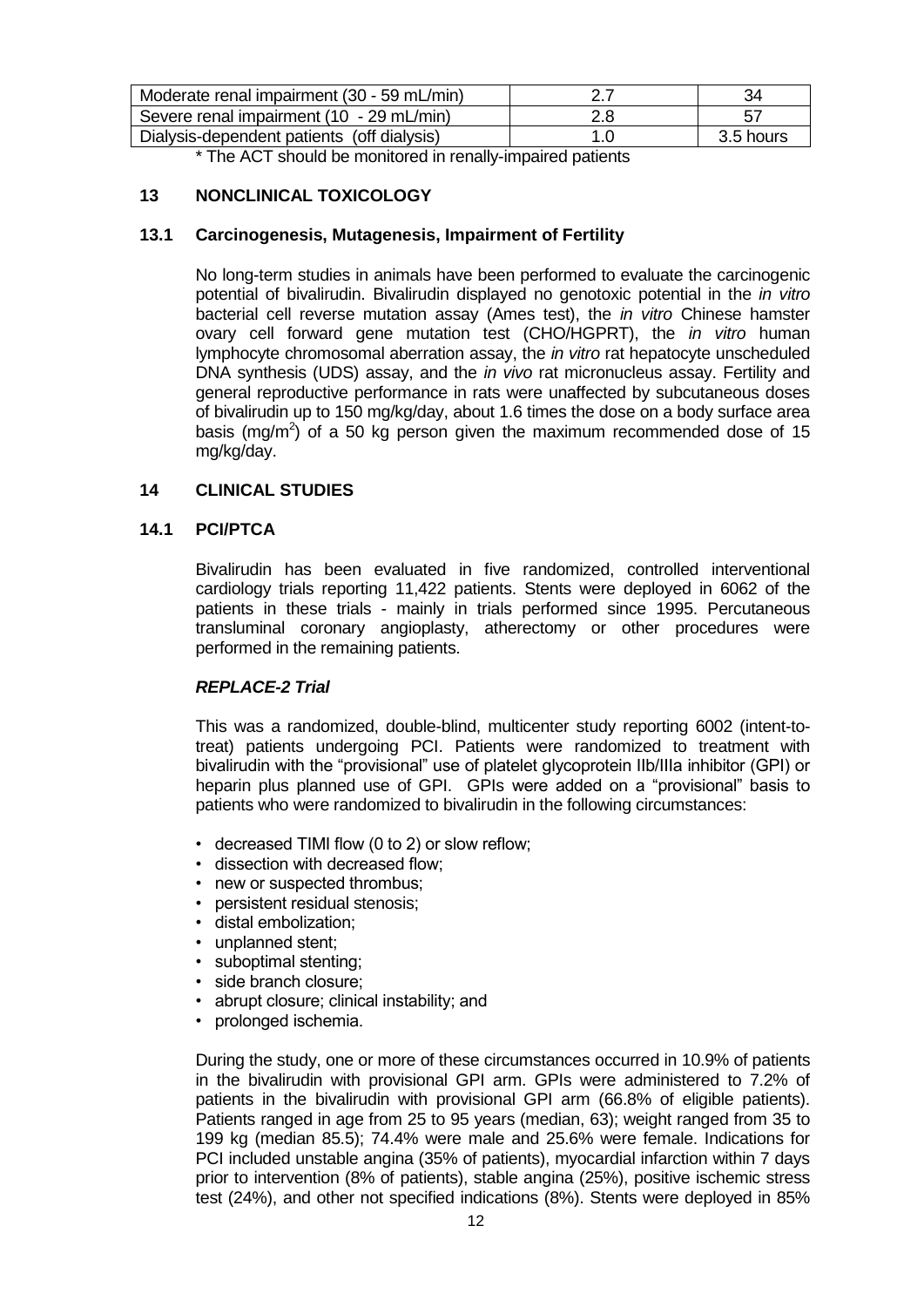<span id="page-11-0"></span>

| Moderate renal impairment (30 - 59 mL/min) |     | 34        |
|--------------------------------------------|-----|-----------|
| Severe renal impairment (10 - 29 mL/min)   | 2.8 |           |
| Dialysis-dependent patients (off dialysis) |     | 3.5 hours |

\* The ACT should be monitored in renally-impaired patients

# **13 NONCLINICAL TOXICOLOGY**

#### **13.1 Carcinogenesis, Mutagenesis, Impairment of Fertility**

No long-term studies in animals have been performed to evaluate the carcinogenic potential of bivalirudin. Bivalirudin displayed no genotoxic potential in the *in vitro* bacterial cell reverse mutation assay (Ames test), the *in vitro* Chinese hamster ovary cell forward gene mutation test (CHO/HGPRT), the *in vitro* human lymphocyte chromosomal aberration assay, the *in vitro* rat hepatocyte unscheduled DNA synthesis (UDS) assay, and the *in vivo* rat micronucleus assay. Fertility and general reproductive performance in rats were unaffected by subcutaneous doses of bivalirudin up to 150 mg/kg/day, about 1.6 times the dose on a body surface area basis (mg/m<sup>2</sup>) of a 50 kg person given the maximum recommended dose of 15 mg/kg/day.

# **14 CLINICAL STUDIES**

#### **14.1 PCI/PTCA**

Bivalirudin has been evaluated in five randomized, controlled interventional cardiology trials reporting 11,422 patients. Stents were deployed in 6062 of the patients in these trials - mainly in trials performed since 1995. Percutaneous transluminal coronary angioplasty, atherectomy or other procedures were performed in the remaining patients.

# *REPLACE-2 Trial*

This was a randomized, double-blind, multicenter study reporting 6002 (intent-totreat) patients undergoing PCI. Patients were randomized to treatment with bivalirudin with the "provisional" use of platelet glycoprotein IIb/IIIa inhibitor (GPI) or heparin plus planned use of GPI. GPIs were added on a "provisional" basis to patients who were randomized to bivalirudin in the following circumstances:

- decreased TIMI flow (0 to 2) or slow reflow;
- dissection with decreased flow;
- new or suspected thrombus:
- persistent residual stenosis;
- distal embolization;
- unplanned stent;
- suboptimal stenting;
- side branch closure;
- abrupt closure; clinical instability; and
- prolonged ischemia.

During the study, one or more of these circumstances occurred in 10.9% of patients in the bivalirudin with provisional GPI arm. GPIs were administered to 7.2% of patients in the bivalirudin with provisional GPI arm (66.8% of eligible patients). Patients ranged in age from 25 to 95 years (median, 63); weight ranged from 35 to 199 kg (median 85.5); 74.4% were male and 25.6% were female. Indications for PCI included unstable angina (35% of patients), myocardial infarction within 7 days prior to intervention (8% of patients), stable angina (25%), positive ischemic stress test (24%), and other not specified indications (8%). Stents were deployed in 85%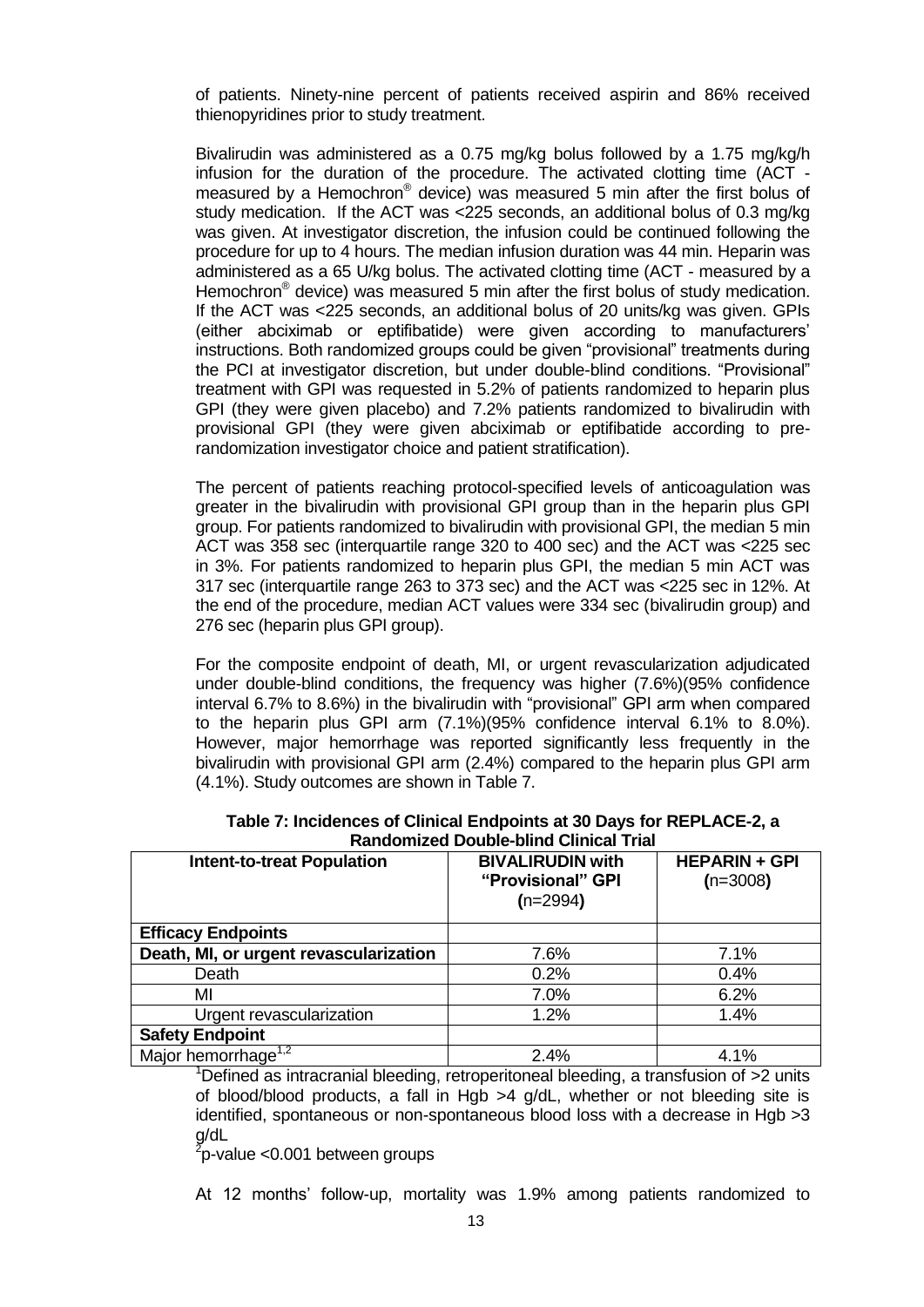of patients. Ninety-nine percent of patients received aspirin and 86% received thienopyridines prior to study treatment.

Bivalirudin was administered as a 0.75 mg/kg bolus followed by a 1.75 mg/kg/h infusion for the duration of the procedure. The activated clotting time (ACT measured by a Hemochron® device) was measured 5 min after the first bolus of study medication. If the ACT was <225 seconds, an additional bolus of 0.3 mg/kg was given. At investigator discretion, the infusion could be continued following the procedure for up to 4 hours. The median infusion duration was 44 min. Heparin was administered as a 65 U/kg bolus. The activated clotting time (ACT - measured by a Hemochron<sup>®</sup> device) was measured 5 min after the first bolus of study medication. If the ACT was <225 seconds, an additional bolus of 20 units/kg was given. GPIs (either abciximab or eptifibatide) were given according to manufacturers' instructions. Both randomized groups could be given "provisional" treatments during the PCI at investigator discretion, but under double-blind conditions. "Provisional" treatment with GPI was requested in 5.2% of patients randomized to heparin plus GPI (they were given placebo) and 7.2% patients randomized to bivalirudin with provisional GPI (they were given abciximab or eptifibatide according to prerandomization investigator choice and patient stratification).

The percent of patients reaching protocol-specified levels of anticoagulation was greater in the bivalirudin with provisional GPI group than in the heparin plus GPI group. For patients randomized to bivalirudin with provisional GPI, the median 5 min ACT was 358 sec (interquartile range 320 to 400 sec) and the ACT was <225 sec in 3%. For patients randomized to heparin plus GPI, the median 5 min ACT was 317 sec (interquartile range 263 to 373 sec) and the ACT was <225 sec in 12%. At the end of the procedure, median ACT values were 334 sec (bivalirudin group) and 276 sec (heparin plus GPI group).

For the composite endpoint of death, MI, or urgent revascularization adjudicated under double-blind conditions, the frequency was higher (7.6%)(95% confidence interval 6.7% to 8.6%) in the bivalirudin with "provisional" GPI arm when compared to the heparin plus GPI arm (7.1%)(95% confidence interval 6.1% to 8.0%). However, major hemorrhage was reported significantly less frequently in the bivalirudin with provisional GPI arm (2.4%) compared to the heparin plus GPI arm (4.1%). Study outcomes are shown in Table 7.

| Randomized Double-blind Clinical Trial       |                                                            |                                    |  |
|----------------------------------------------|------------------------------------------------------------|------------------------------------|--|
| <b>Intent-to-treat Population</b>            | <b>BIVALIRUDIN with</b><br>"Provisional" GPI<br>$(n=2994)$ | <b>HEPARIN + GPI</b><br>$(n=3008)$ |  |
| <b>Efficacy Endpoints</b>                    |                                                            |                                    |  |
| Death, MI, or urgent revascularization       | 7.6%                                                       | 7.1%                               |  |
| Death                                        | 0.2%                                                       | 0.4%                               |  |
| ΜI                                           | 7.0%                                                       | 6.2%                               |  |
| Urgent revascularization                     | 1.2%                                                       | 1.4%                               |  |
| <b>Safety Endpoint</b>                       |                                                            |                                    |  |
| Major hemorrhage <sup><math>1,2</math></sup> | 2.4%                                                       | 4.1%                               |  |

| Table 7: Incidences of Clinical Endpoints at 30 Days for REPLACE-2, a |  |
|-----------------------------------------------------------------------|--|
| <b>Randomized Double-blind Clinical Trial</b>                         |  |

<sup>1</sup>Defined as intracranial bleeding, retroperitoneal bleeding, a transfusion of  $>2$  units of blood/blood products, a fall in Hgb >4 g/dL, whether or not bleeding site is identified, spontaneous or non-spontaneous blood loss with a decrease in Hgb  $>3$ g/dL

 $\frac{2}{7}$ p-value <0.001 between groups

At 12 months' follow-up, mortality was 1.9% among patients randomized to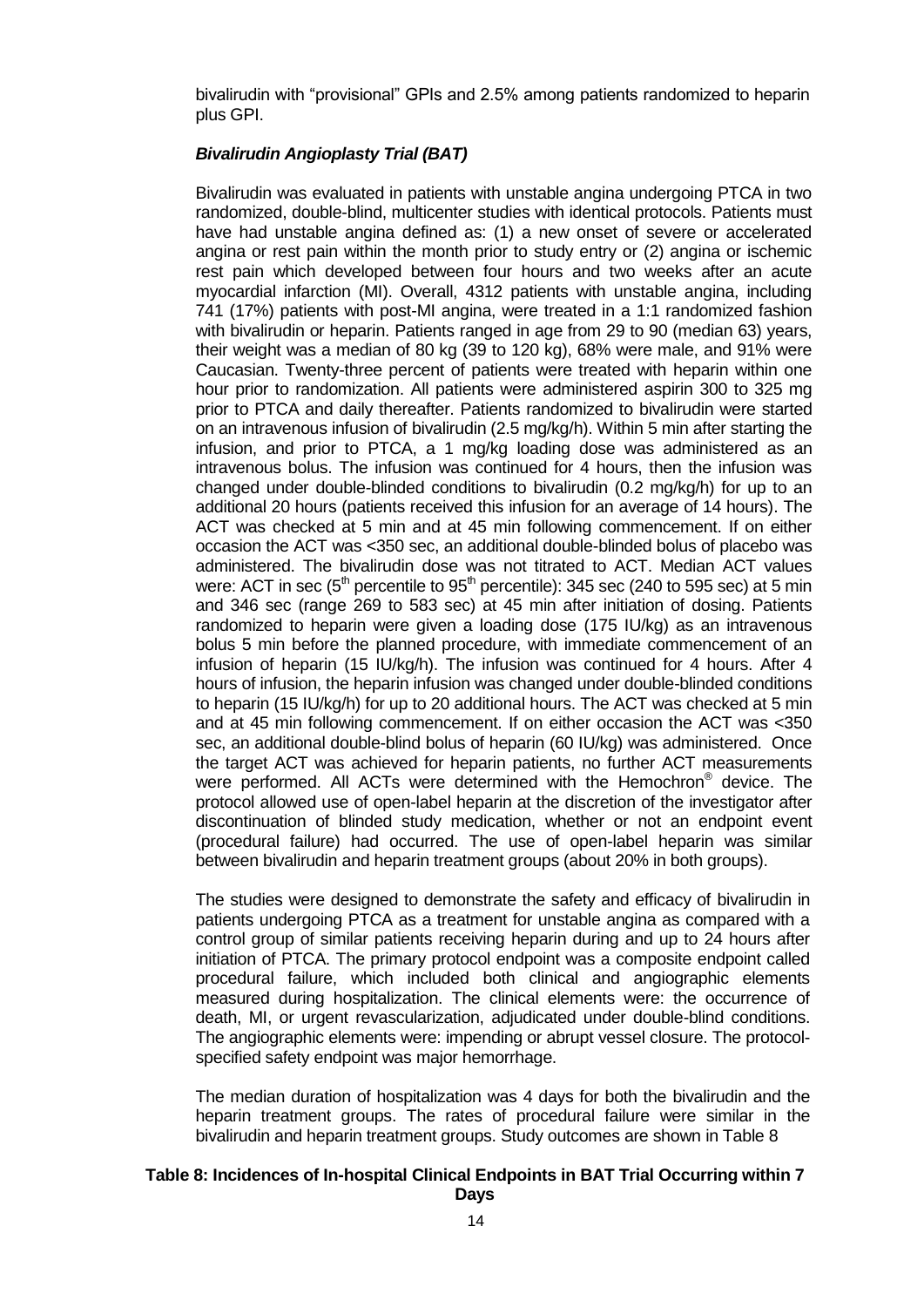bivalirudin with "provisional" GPIs and 2.5% among patients randomized to heparin plus GPI.

# *Bivalirudin Angioplasty Trial (BAT)*

Bivalirudin was evaluated in patients with unstable angina undergoing PTCA in two randomized, double-blind, multicenter studies with identical protocols. Patients must have had unstable angina defined as: (1) a new onset of severe or accelerated angina or rest pain within the month prior to study entry or (2) angina or ischemic rest pain which developed between four hours and two weeks after an acute myocardial infarction (MI). Overall, 4312 patients with unstable angina, including 741 (17%) patients with post-MI angina, were treated in a 1:1 randomized fashion with bivalirudin or heparin. Patients ranged in age from 29 to 90 (median 63) years, their weight was a median of 80 kg (39 to 120 kg), 68% were male, and 91% were Caucasian. Twenty-three percent of patients were treated with heparin within one hour prior to randomization. All patients were administered aspirin 300 to 325 mg prior to PTCA and daily thereafter. Patients randomized to bivalirudin were started on an intravenous infusion of bivalirudin (2.5 mg/kg/h). Within 5 min after starting the infusion, and prior to PTCA, a 1 mg/kg loading dose was administered as an intravenous bolus. The infusion was continued for 4 hours, then the infusion was changed under double-blinded conditions to bivalirudin (0.2 mg/kg/h) for up to an additional 20 hours (patients received this infusion for an average of 14 hours). The ACT was checked at 5 min and at 45 min following commencement. If on either occasion the ACT was <350 sec, an additional double-blinded bolus of placebo was administered. The bivalirudin dose was not titrated to ACT. Median ACT values were: ACT in sec ( $5<sup>th</sup>$  percentile to  $95<sup>th</sup>$  percentile): 345 sec (240 to 595 sec) at 5 min and 346 sec (range 269 to 583 sec) at 45 min after initiation of dosing. Patients randomized to heparin were given a loading dose (175 IU/kg) as an intravenous bolus 5 min before the planned procedure, with immediate commencement of an infusion of heparin (15 IU/kg/h). The infusion was continued for 4 hours. After 4 hours of infusion, the heparin infusion was changed under double-blinded conditions to heparin (15 IU/kg/h) for up to 20 additional hours. The ACT was checked at 5 min and at 45 min following commencement. If on either occasion the ACT was <350 sec, an additional double-blind bolus of heparin (60 IU/kg) was administered. Once the target ACT was achieved for heparin patients, no further ACT measurements were performed. All ACTs were determined with the Hemochron® device. The protocol allowed use of open-label heparin at the discretion of the investigator after discontinuation of blinded study medication, whether or not an endpoint event (procedural failure) had occurred. The use of open-label heparin was similar between bivalirudin and heparin treatment groups (about 20% in both groups).

The studies were designed to demonstrate the safety and efficacy of bivalirudin in patients undergoing PTCA as a treatment for unstable angina as compared with a control group of similar patients receiving heparin during and up to 24 hours after initiation of PTCA. The primary protocol endpoint was a composite endpoint called procedural failure, which included both clinical and angiographic elements measured during hospitalization. The clinical elements were: the occurrence of death, MI, or urgent revascularization, adjudicated under double-blind conditions. The angiographic elements were: impending or abrupt vessel closure. The protocolspecified safety endpoint was major hemorrhage.

The median duration of hospitalization was 4 days for both the bivalirudin and the heparin treatment groups. The rates of procedural failure were similar in the bivalirudin and heparin treatment groups. Study outcomes are shown in Table 8

#### **Table 8: Incidences of In-hospital Clinical Endpoints in BAT Trial Occurring within 7 Days**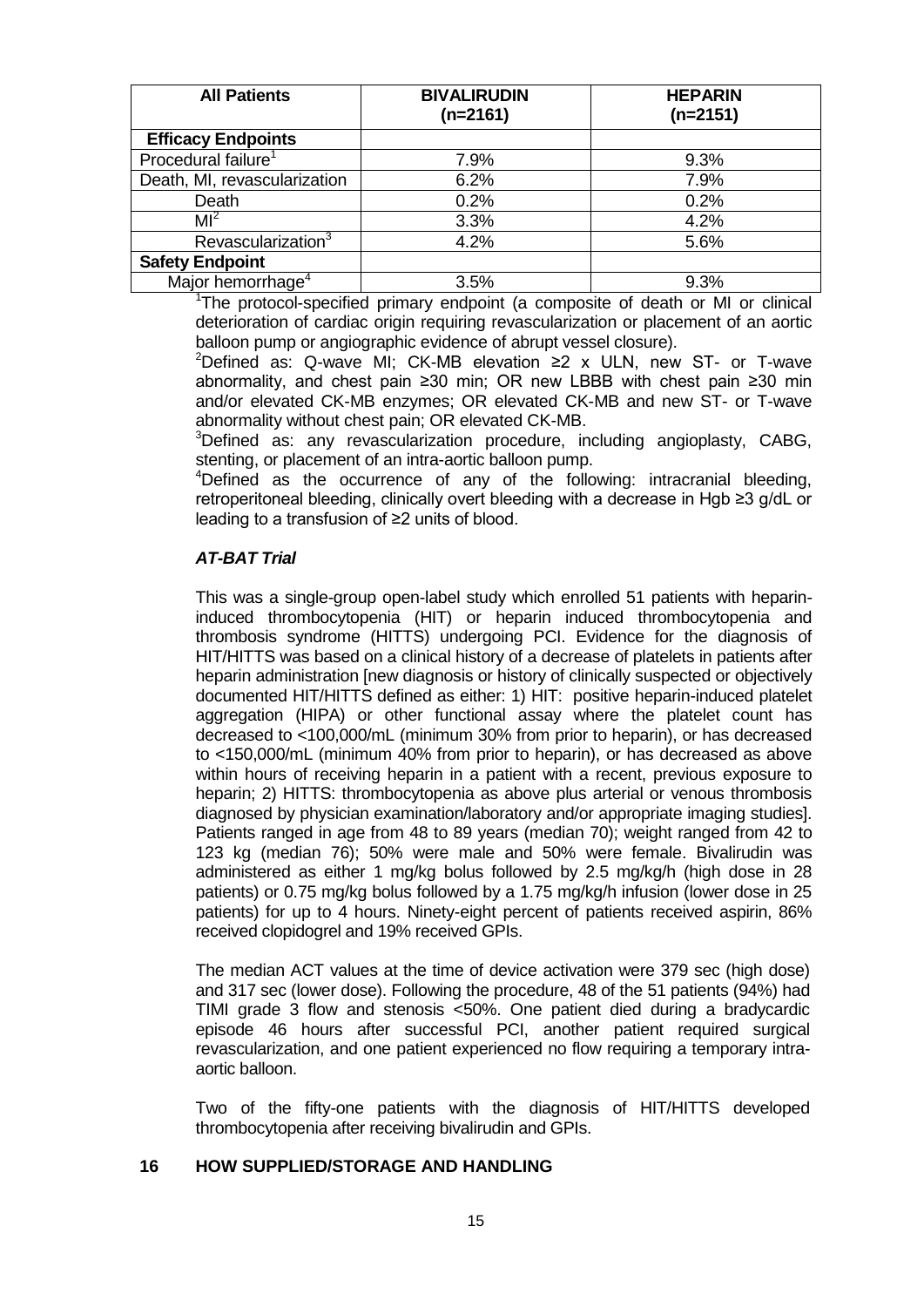<span id="page-14-0"></span>

| <b>All Patients</b>             | <b>BIVALIRUDIN</b><br>$(n=2161)$ | <b>HEPARIN</b><br>$(n=2151)$ |
|---------------------------------|----------------------------------|------------------------------|
| <b>Efficacy Endpoints</b>       |                                  |                              |
| Procedural failure <sup>1</sup> | 7.9%                             | 9.3%                         |
| Death, MI, revascularization    | 6.2%                             | 7.9%                         |
| Death                           | 0.2%                             | 0.2%                         |
| M <sup>2</sup>                  | 3.3%                             | 4.2%                         |
| Revascularization <sup>3</sup>  | 4.2%                             | 5.6%                         |
| <b>Safety Endpoint</b>          |                                  |                              |
| Major hemorrhage <sup>4</sup>   | 3.5%                             | 9.3%                         |

<sup>1</sup>The protocol-specified primary endpoint (a composite of death or MI or clinical deterioration of cardiac origin requiring revascularization or placement of an aortic balloon pump or angiographic evidence of abrupt vessel closure).

<sup>2</sup>Defined as: Q-wave MI; CK-MB elevation ≥2 x ULN, new ST- or T-wave abnormality, and chest pain ≥30 min; OR new LBBB with chest pain ≥30 min and/or elevated CK-MB enzymes; OR elevated CK-MB and new ST- or T-wave abnormality without chest pain; OR elevated CK-MB.

<sup>3</sup>Defined as: any revascularization procedure, including angioplasty, CABG, stenting, or placement of an intra-aortic balloon pump.

<sup>4</sup>Defined as the occurrence of any of the following: intracranial bleeding, retroperitoneal bleeding, clinically overt bleeding with a decrease in Hgb ≥3 g/dL or leading to a transfusion of ≥2 units of blood.

# *AT-BAT Trial*

This was a single-group open-label study which enrolled 51 patients with heparininduced thrombocytopenia (HIT) or heparin induced thrombocytopenia and thrombosis syndrome (HITTS) undergoing PCI. Evidence for the diagnosis of HIT/HITTS was based on a clinical history of a decrease of platelets in patients after heparin administration [new diagnosis or history of clinically suspected or objectively documented HIT/HITTS defined as either: 1) HIT: positive heparin-induced platelet aggregation (HIPA) or other functional assay where the platelet count has decreased to <100,000/mL (minimum 30% from prior to heparin), or has decreased to <150,000/mL (minimum 40% from prior to heparin), or has decreased as above within hours of receiving heparin in a patient with a recent, previous exposure to heparin; 2) HITTS: thrombocytopenia as above plus arterial or venous thrombosis diagnosed by physician examination/laboratory and/or appropriate imaging studies]. Patients ranged in age from 48 to 89 years (median 70); weight ranged from 42 to 123 kg (median 76); 50% were male and 50% were female. Bivalirudin was administered as either 1 mg/kg bolus followed by 2.5 mg/kg/h (high dose in 28 patients) or 0.75 mg/kg bolus followed by a 1.75 mg/kg/h infusion (lower dose in 25 patients) for up to 4 hours. Ninety-eight percent of patients received aspirin, 86% received clopidogrel and 19% received GPIs.

The median ACT values at the time of device activation were 379 sec (high dose) and 317 sec (lower dose). Following the procedure, 48 of the 51 patients (94%) had TIMI grade 3 flow and stenosis <50%. One patient died during a bradycardic episode 46 hours after successful PCI, another patient required surgical revascularization, and one patient experienced no flow requiring a temporary intraaortic balloon.

Two of the fifty-one patients with the diagnosis of HIT/HITTS developed thrombocytopenia after receiving bivalirudin and GPIs.

#### **16 HOW SUPPLIED/STORAGE AND HANDLING**